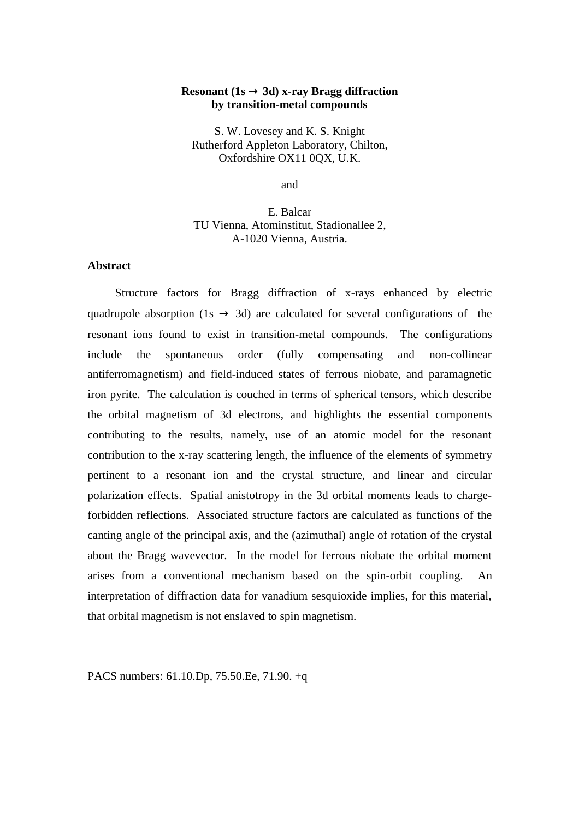## **Resonant (1s**  $\rightarrow$  **3d) x-ray Bragg diffraction by transition-metal compounds**

S. W. Lovesey and K. S. Knight Rutherford Appleton Laboratory, Chilton, Oxfordshire OX11 0QX, U.K.

and

E. Balcar TU Vienna, Atominstitut, Stadionallee 2, A-1020 Vienna, Austria.

## **Abstract**

Structure factors for Bragg diffraction of x-rays enhanced by electric quadrupole absorption (1s  $\rightarrow$  3d) are calculated for several configurations of the resonant ions found to exist in transition-metal compounds. The configurations include the spontaneous order (fully compensating and non-collinear antiferromagnetism) and field-induced states of ferrous niobate, and paramagnetic iron pyrite. The calculation is couched in terms of spherical tensors, which describe the orbital magnetism of 3d electrons, and highlights the essential components contributing to the results, namely, use of an atomic model for the resonant contribution to the x-ray scattering length, the influence of the elements of symmetry pertinent to a resonant ion and the crystal structure, and linear and circular polarization effects. Spatial anistotropy in the 3d orbital moments leads to chargeforbidden reflections. Associated structure factors are calculated as functions of the canting angle of the principal axis, and the (azimuthal) angle of rotation of the crystal about the Bragg wavevector. In the model for ferrous niobate the orbital moment arises from a conventional mechanism based on the spin-orbit coupling. An interpretation of diffraction data for vanadium sesquioxide implies, for this material, that orbital magnetism is not enslaved to spin magnetism.

PACS numbers: 61.10.Dp, 75.50.Ee, 71.90. +q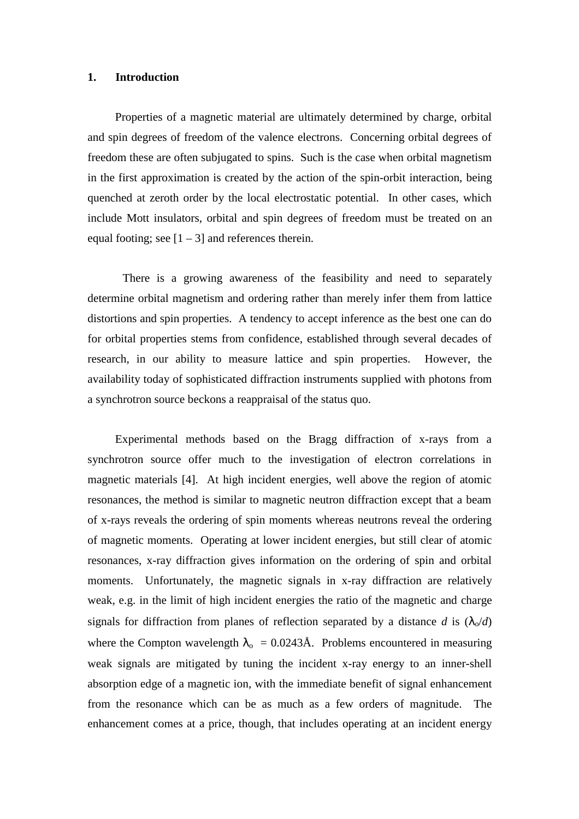#### **1. Introduction**

Properties of a magnetic material are ultimately determined by charge, orbital and spin degrees of freedom of the valence electrons. Concerning orbital degrees of freedom these are often subjugated to spins. Such is the case when orbital magnetism in the first approximation is created by the action of the spin-orbit interaction, being quenched at zeroth order by the local electrostatic potential. In other cases, which include Mott insulators, orbital and spin degrees of freedom must be treated on an equal footing; see  $[1 – 3]$  and references therein.

There is a growing awareness of the feasibility and need to separately determine orbital magnetism and ordering rather than merely infer them from lattice distortions and spin properties. A tendency to accept inference as the best one can do for orbital properties stems from confidence, established through several decades of research, in our ability to measure lattice and spin properties. However, the availability today of sophisticated diffraction instruments supplied with photons from a synchrotron source beckons a reappraisal of the status quo.

Experimental methods based on the Bragg diffraction of x-rays from a synchrotron source offer much to the investigation of electron correlations in magnetic materials [4]. At high incident energies, well above the region of atomic resonances, the method is similar to magnetic neutron diffraction except that a beam of x-rays reveals the ordering of spin moments whereas neutrons reveal the ordering of magnetic moments. Operating at lower incident energies, but still clear of atomic resonances, x-ray diffraction gives information on the ordering of spin and orbital moments. Unfortunately, the magnetic signals in x-ray diffraction are relatively weak, e.g. in the limit of high incident energies the ratio of the magnetic and charge signals for diffraction from planes of reflection separated by a distance *d* is  $(\lambda_0/d)$ where the Compton wavelength  $\lambda_0 = 0.0243\text{\AA}$ . Problems encountered in measuring weak signals are mitigated by tuning the incident x-ray energy to an inner-shell absorption edge of a magnetic ion, with the immediate benefit of signal enhancement from the resonance which can be as much as a few orders of magnitude. The enhancement comes at a price, though, that includes operating at an incident energy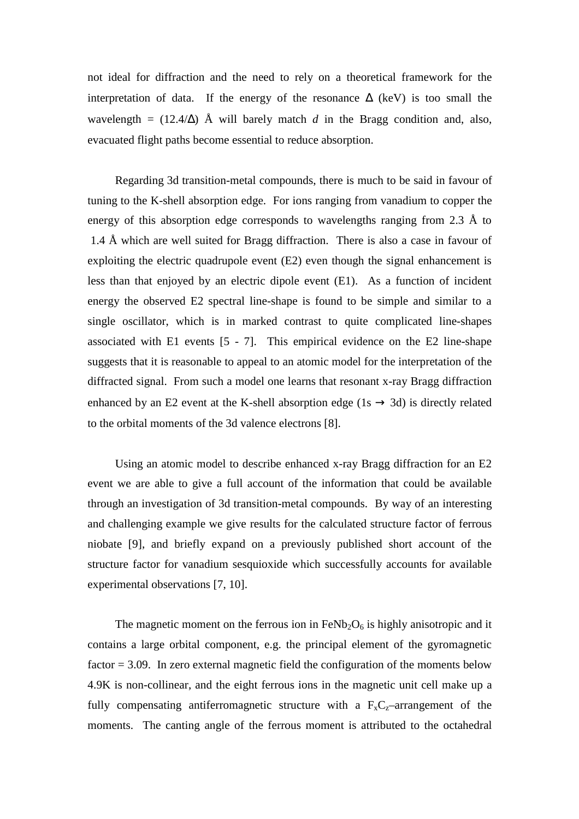not ideal for diffraction and the need to rely on a theoretical framework for the interpretation of data. If the energy of the resonance  $\Delta$  (keV) is too small the wavelength =  $(12.4/\Delta)$  Å will barely match *d* in the Bragg condition and, also, evacuated flight paths become essential to reduce absorption.

Regarding 3d transition-metal compounds, there is much to be said in favour of tuning to the K-shell absorption edge. For ions ranging from vanadium to copper the energy of this absorption edge corresponds to wavelengths ranging from 2.3 Å to 1.4 Å which are well suited for Bragg diffraction. There is also a case in favour of exploiting the electric quadrupole event (E2) even though the signal enhancement is less than that enjoyed by an electric dipole event (E1). As a function of incident energy the observed E2 spectral line-shape is found to be simple and similar to a single oscillator, which is in marked contrast to quite complicated line-shapes associated with E1 events [5 - 7]. This empirical evidence on the E2 line-shape suggests that it is reasonable to appeal to an atomic model for the interpretation of the diffracted signal. From such a model one learns that resonant x-ray Bragg diffraction enhanced by an E2 event at the K-shell absorption edge (1s  $\rightarrow$  3d) is directly related to the orbital moments of the 3d valence electrons [8].

Using an atomic model to describe enhanced x-ray Bragg diffraction for an E2 event we are able to give a full account of the information that could be available through an investigation of 3d transition-metal compounds. By way of an interesting and challenging example we give results for the calculated structure factor of ferrous niobate [9], and briefly expand on a previously published short account of the structure factor for vanadium sesquioxide which successfully accounts for available experimental observations [7, 10].

The magnetic moment on the ferrous ion in  $FeNb<sub>2</sub>O<sub>6</sub>$  is highly anisotropic and it contains a large orbital component, e.g. the principal element of the gyromagnetic factor  $= 3.09$ . In zero external magnetic field the configuration of the moments below 4.9K is non-collinear, and the eight ferrous ions in the magnetic unit cell make up a fully compensating antiferromagnetic structure with a  $F_xC_z$ -arrangement of the moments. The canting angle of the ferrous moment is attributed to the octahedral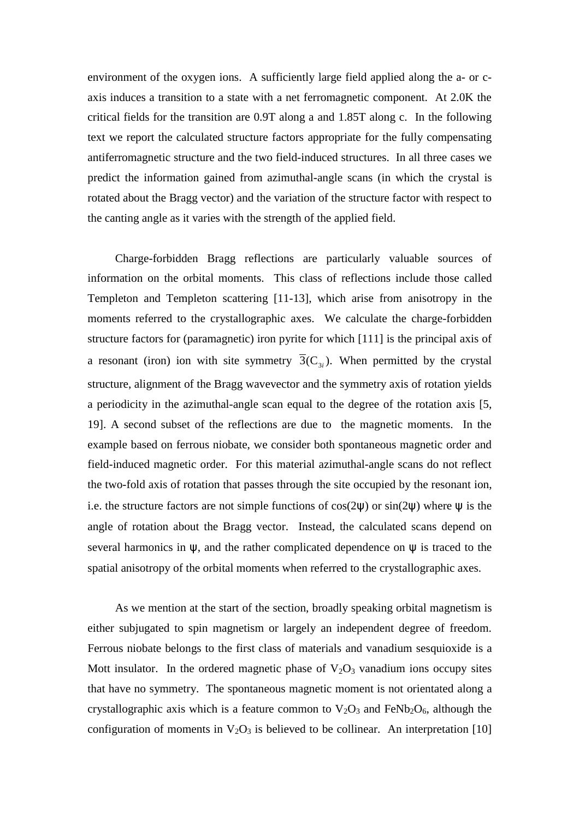environment of the oxygen ions. A sufficiently large field applied along the a- or caxis induces a transition to a state with a net ferromagnetic component. At 2.0K the critical fields for the transition are 0.9T along a and 1.85T along c. In the following text we report the calculated structure factors appropriate for the fully compensating antiferromagnetic structure and the two field-induced structures. In all three cases we predict the information gained from azimuthal-angle scans (in which the crystal is rotated about the Bragg vector) and the variation of the structure factor with respect to the canting angle as it varies with the strength of the applied field.

Charge-forbidden Bragg reflections are particularly valuable sources of information on the orbital moments. This class of reflections include those called Templeton and Templeton scattering [11-13], which arise from anisotropy in the moments referred to the crystallographic axes. We calculate the charge-forbidden structure factors for (paramagnetic) iron pyrite for which [111] is the principal axis of a resonant (iron) ion with site symmetry  $\overline{3}(C_{3i})$ . When permitted by the crystal structure, alignment of the Bragg wavevector and the symmetry axis of rotation yields a periodicity in the azimuthal-angle scan equal to the degree of the rotation axis [5, 19]. A second subset of the reflections are due to the magnetic moments. In the example based on ferrous niobate, we consider both spontaneous magnetic order and field-induced magnetic order. For this material azimuthal-angle scans do not reflect the two-fold axis of rotation that passes through the site occupied by the resonant ion, i.e. the structure factors are not simple functions of  $cos(2\psi)$  or  $sin(2\psi)$  where  $\psi$  is the angle of rotation about the Bragg vector. Instead, the calculated scans depend on several harmonics in  $\psi$ , and the rather complicated dependence on  $\psi$  is traced to the spatial anisotropy of the orbital moments when referred to the crystallographic axes.

As we mention at the start of the section, broadly speaking orbital magnetism is either subjugated to spin magnetism or largely an independent degree of freedom. Ferrous niobate belongs to the first class of materials and vanadium sesquioxide is a Mott insulator. In the ordered magnetic phase of  $V_2O_3$  vanadium ions occupy sites that have no symmetry. The spontaneous magnetic moment is not orientated along a crystallographic axis which is a feature common to  $V_2O_3$  and FeNb<sub>2</sub>O<sub>6</sub>, although the configuration of moments in  $V_2O_3$  is believed to be collinear. An interpretation [10]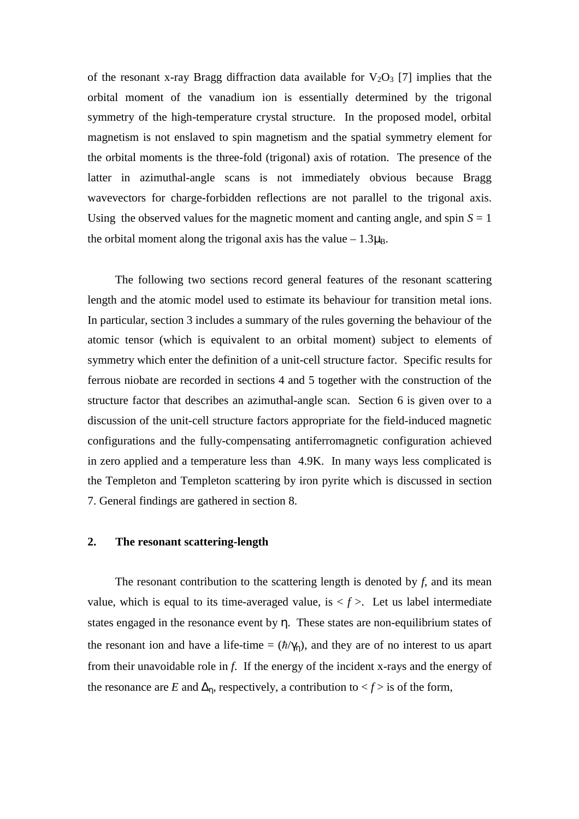of the resonant x-ray Bragg diffraction data available for  $V_2O_3$  [7] implies that the orbital moment of the vanadium ion is essentially determined by the trigonal symmetry of the high-temperature crystal structure. In the proposed model, orbital magnetism is not enslaved to spin magnetism and the spatial symmetry element for the orbital moments is the three-fold (trigonal) axis of rotation. The presence of the latter in azimuthal-angle scans is not immediately obvious because Bragg wavevectors for charge-forbidden reflections are not parallel to the trigonal axis. Using the observed values for the magnetic moment and canting angle, and spin  $S = 1$ the orbital moment along the trigonal axis has the value  $-1.3\mu_B$ .

The following two sections record general features of the resonant scattering length and the atomic model used to estimate its behaviour for transition metal ions. In particular, section 3 includes a summary of the rules governing the behaviour of the atomic tensor (which is equivalent to an orbital moment) subject to elements of symmetry which enter the definition of a unit-cell structure factor. Specific results for ferrous niobate are recorded in sections 4 and 5 together with the construction of the structure factor that describes an azimuthal-angle scan. Section 6 is given over to a discussion of the unit-cell structure factors appropriate for the field-induced magnetic configurations and the fully-compensating antiferromagnetic configuration achieved in zero applied and a temperature less than 4.9K. In many ways less complicated is the Templeton and Templeton scattering by iron pyrite which is discussed in section 7. General findings are gathered in section 8.

## **2. The resonant scattering-length**

The resonant contribution to the scattering length is denoted by *f*, and its mean value, which is equal to its time-averaged value, is  $\langle f \rangle$ . Let us label intermediate states engaged in the resonance event by η. These states are non-equilibrium states of the resonant ion and have a life-time =  $(\hbar/\gamma_n)$ , and they are of no interest to us apart from their unavoidable role in *f*. If the energy of the incident x-rays and the energy of the resonance are *E* and  $\Delta_n$ , respectively, a contribution to  $\lt f$  is of the form,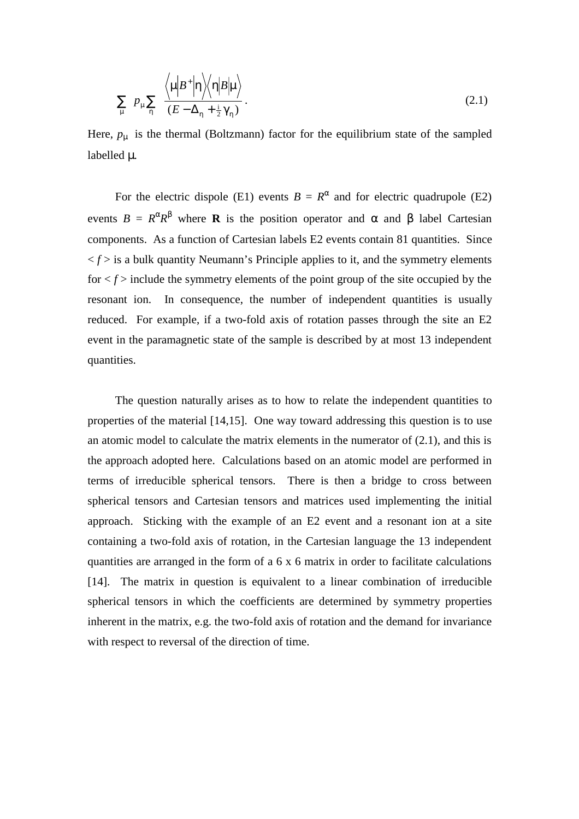$$
\sum_{\mu} p_{\mu} \sum_{\eta} \frac{\left\langle \mu \left| B^{+} \right| \eta \right\rangle\left\langle \eta \left| B \right| \mu \right\rangle}{\left( E - \Delta_{\eta} + \frac{1}{2} \gamma_{\eta} \right)}.
$$
\n(2.1)

Here,  $p_{\mu}$  is the thermal (Boltzmann) factor for the equilibrium state of the sampled labelled  $\mu$ .

For the electric dispole (E1) events  $B = R^{\alpha}$  and for electric quadrupole (E2) events  $B = R^{\alpha}R^{\beta}$  where **R** is the position operator and α and β label Cartesian components. As a function of Cartesian labels E2 events contain 81 quantities. Since  $\langle f \rangle$  is a bulk quantity Neumann's Principle applies to it, and the symmetry elements for  $\leq f$  include the symmetry elements of the point group of the site occupied by the resonant ion. In consequence, the number of independent quantities is usually reduced. For example, if a two-fold axis of rotation passes through the site an E2 event in the paramagnetic state of the sample is described by at most 13 independent quantities.

The question naturally arises as to how to relate the independent quantities to properties of the material [14,15]. One way toward addressing this question is to use an atomic model to calculate the matrix elements in the numerator of (2.1), and this is the approach adopted here. Calculations based on an atomic model are performed in terms of irreducible spherical tensors. There is then a bridge to cross between spherical tensors and Cartesian tensors and matrices used implementing the initial approach. Sticking with the example of an E2 event and a resonant ion at a site containing a two-fold axis of rotation, in the Cartesian language the 13 independent quantities are arranged in the form of a 6 x 6 matrix in order to facilitate calculations [14]. The matrix in question is equivalent to a linear combination of irreducible spherical tensors in which the coefficients are determined by symmetry properties inherent in the matrix, e.g. the two-fold axis of rotation and the demand for invariance with respect to reversal of the direction of time.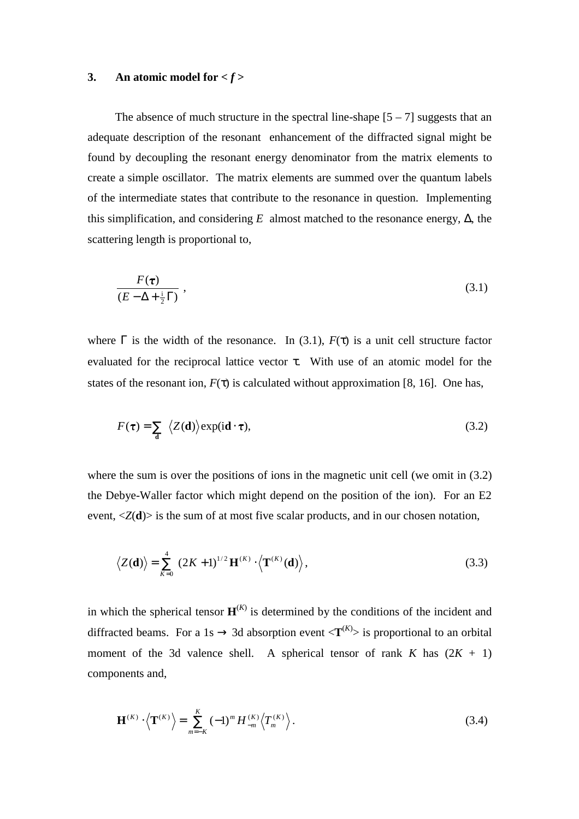## **3.** An atomic model for  $\lt f$

The absence of much structure in the spectral line-shape  $[5 - 7]$  suggests that an adequate description of the resonant enhancement of the diffracted signal might be found by decoupling the resonant energy denominator from the matrix elements to create a simple oscillator. The matrix elements are summed over the quantum labels of the intermediate states that contribute to the resonance in question. Implementing this simplification, and considering  $E$  almost matched to the resonance energy,  $\Delta$ , the scattering length is proportional to,

$$
\frac{F(\tau)}{(E - \Delta + \frac{i}{2}\Gamma)},
$$
\n(3.1)

where  $\Gamma$  is the width of the resonance. In (3.1),  $F(\tau)$  is a unit cell structure factor evaluated for the reciprocal lattice vector  $\tau$ . With use of an atomic model for the states of the resonant ion,  $F(\tau)$  is calculated without approximation [8, 16]. One has,

$$
F(\tau) = \sum_{\mathbf{d}} \langle Z(\mathbf{d}) \rangle \exp(i\mathbf{d} \cdot \tau), \qquad (3.2)
$$

where the sum is over the positions of ions in the magnetic unit cell (we omit in  $(3.2)$ ) the Debye-Waller factor which might depend on the position of the ion). For an E2 event,  $\langle Z(\mathbf{d}) \rangle$  is the sum of at most five scalar products, and in our chosen notation,

$$
\langle Z(\mathbf{d}) \rangle = \sum_{K=0}^{4} (2K+1)^{1/2} \mathbf{H}^{(K)} \cdot \langle \mathbf{T}^{(K)}(\mathbf{d}) \rangle, \qquad (3.3)
$$

in which the spherical tensor  $\mathbf{H}^{(K)}$  is determined by the conditions of the incident and diffracted beams. For a 1s  $\rightarrow$  3d absorption event  $\langle T^{(K)} \rangle$  is proportional to an orbital moment of the 3d valence shell. A spherical tensor of rank  $K$  has  $(2K + 1)$ components and,

$$
\mathbf{H}^{(K)} \cdot \left\langle \mathbf{T}^{(K)} \right\rangle = \sum_{m=-K}^{K} (-1)^m H_{-m}^{(K)} \left\langle T_m^{(K)} \right\rangle.
$$
 (3.4)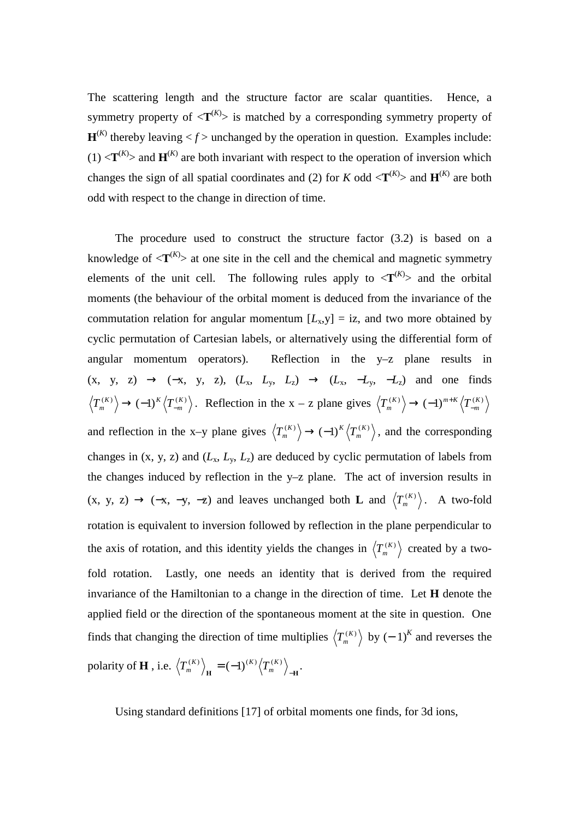The scattering length and the structure factor are scalar quantities. Hence, a symmetry property of  $\langle T^{(K)} \rangle$  is matched by a corresponding symmetry property of  $\mathbf{H}^{(K)}$  thereby leaving  $\langle f \rangle$  unchanged by the operation in question. Examples include:  $(1)$  <**T**<sup>(*K*</sup>) and **H**<sup>(*K*</sup>) are both invariant with respect to the operation of inversion which changes the sign of all spatial coordinates and (2) for *K* odd  $\langle T^{(K)} \rangle$  and  $H^{(K)}$  are both odd with respect to the change in direction of time.

The procedure used to construct the structure factor (3.2) is based on a knowledge of  $\langle T^{(K)} \rangle$  at one site in the cell and the chemical and magnetic symmetry elements of the unit cell. The following rules apply to  $\langle T^{(K)} \rangle$  and the orbital moments (the behaviour of the orbital moment is deduced from the invariance of the commutation relation for angular momentum  $[L_x, y] = iz$ , and two more obtained by cyclic permutation of Cartesian labels, or alternatively using the differential form of angular momentum operators). Reflection in the y–z plane results in  $(x, y, z) \rightarrow (-x, y, z), (L_x, L_y, L_z) \rightarrow (L_x, -L_y, -L_z)$  and one finds  $\langle T_m^{(K)} \rangle \rightarrow (-1)^K \langle T_{-m}^{(K)} \rangle$ . Reflection in the x – z plane gives  $\langle T_m^{(K)} \rangle \rightarrow (-1)^{m+K} \langle T_{-m}^{(K)} \rangle$ and reflection in the x-y plane gives  $\langle T_m^{(K)} \rangle \rightarrow (-1)^K \langle T_m^{(K)} \rangle$ , and the corresponding changes in  $(x, y, z)$  and  $(L_x, L_y, L_z)$  are deduced by cyclic permutation of labels from the changes induced by reflection in the y–z plane. The act of inversion results in (x, y, z) → (-x, -y, -z) and leaves unchanged both **L** and  $\langle T_m^{(K)} \rangle$ . A two-fold rotation is equivalent to inversion followed by reflection in the plane perpendicular to the axis of rotation, and this identity yields the changes in  $\langle T_m^{(K)} \rangle$  created by a twofold rotation. Lastly, one needs an identity that is derived from the required invariance of the Hamiltonian to a change in the direction of time. Let **H** denote the applied field or the direction of the spontaneous moment at the site in question. One finds that changing the direction of time multiplies  $\langle T_{m}^{(K)} \rangle$  by  $(-1)^{K}$  and reverses the polarity of **H**, i.e.  $\left\langle T_m^{(K)} \right\rangle_{\mathbf{H}} = (-1)^{(K)} \left\langle T_m^{(K)} \right\rangle_{-\mathbf{H}}$ .

Using standard definitions [17] of orbital moments one finds, for 3d ions,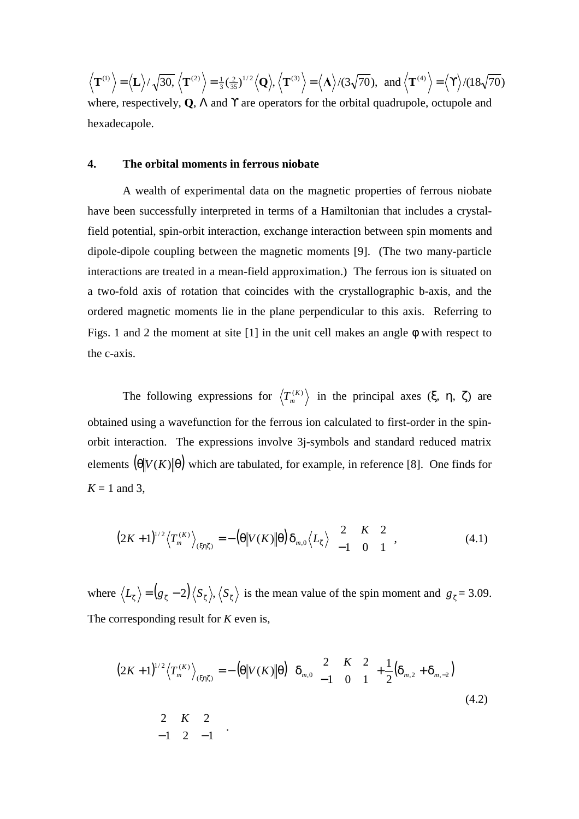$$
\langle \mathbf{T}^{(1)} \rangle = \langle \mathbf{L} \rangle / \sqrt{30}, \langle \mathbf{T}^{(2)} \rangle = \frac{1}{3} (\frac{2}{35})^{1/2} \langle \mathbf{Q} \rangle, \langle \mathbf{T}^{(3)} \rangle = \langle \mathbf{A} \rangle / (3\sqrt{70}), \text{ and } \langle \mathbf{T}^{(4)} \rangle = \langle \mathbf{T} \rangle / (18\sqrt{70})
$$

where, respectively, **Q**, Λ and ϒ are operators for the orbital quadrupole, octupole and hexadecapole.

#### **4. The orbital moments in ferrous niobate**

A wealth of experimental data on the magnetic properties of ferrous niobate have been successfully interpreted in terms of a Hamiltonian that includes a crystalfield potential, spin-orbit interaction, exchange interaction between spin moments and dipole-dipole coupling between the magnetic moments [9]. (The two many-particle interactions are treated in a mean-field approximation.) The ferrous ion is situated on a two-fold axis of rotation that coincides with the crystallographic b-axis, and the ordered magnetic moments lie in the plane perpendicular to this axis. Referring to Figs. 1 and 2 the moment at site [1] in the unit cell makes an angle φ with respect to the c-axis.

The following expressions for  $\langle T_m^{(K)} \rangle$  in the principal axes (ξ, η, ζ) are obtained using a wavefunction for the ferrous ion calculated to first-order in the spinorbit interaction. The expressions involve 3j-symbols and standard reduced matrix elements  $(\theta \| V(K) \| \theta)$  which are tabulated, for example, in reference [8]. One finds for  $K = 1$  and 3,

$$
(2K+1)^{1/2}\left\langle T_m^{(K)}\right\rangle_{(\xi\eta\xi)} = -\left(\theta\middle\|V(K)\middle\|\theta\right)\delta_{m,0}\left\langle L_{\zeta}\right\rangle \begin{pmatrix} 2 & K & 2\\ -1 & 0 & 1 \end{pmatrix},\tag{4.1}
$$

where  $\langle L_{\zeta} \rangle = (g_{\zeta} - 2) \langle S_{\zeta} \rangle$ ,  $\langle S_{\zeta} \rangle$  is the mean value of the spin moment and  $g_{\zeta} = 3.09$ . The corresponding result for *K* even is,

$$
(2K+1)^{1/2} \langle T_m^{(K)} \rangle_{(\xi \eta \zeta)} = -\left(\theta \middle| V(K) \middle| \theta\right) \left\{ \delta_{m,0} \begin{pmatrix} 2 & K & 2 \\ -1 & 0 & 1 \end{pmatrix} + \frac{1}{2} \left( \delta_{m,2} + \delta_{m,-2} \right) \right\}
$$
\n
$$
\begin{pmatrix} 2 & K & 2 \\ -1 & 2 & -1 \end{pmatrix} .
$$
\n(4.2)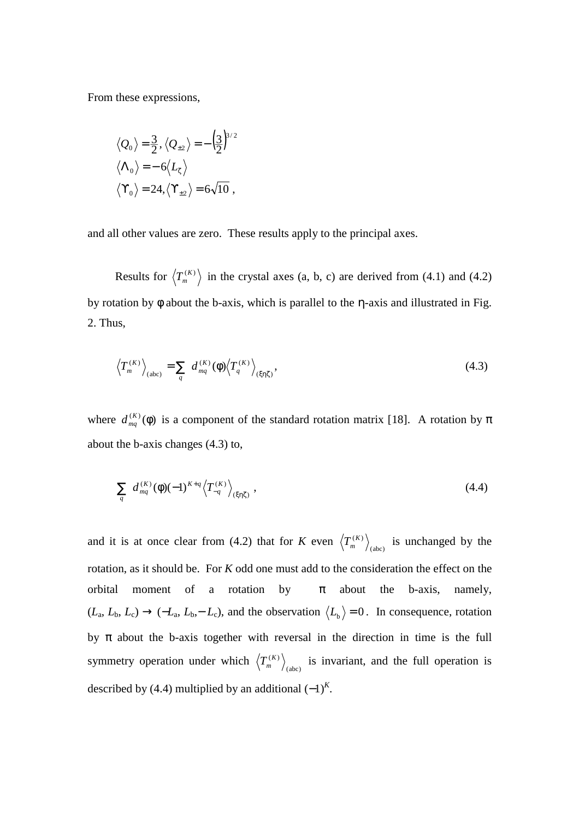From these expressions,

$$
\langle Q_0 \rangle = \frac{3}{2}, \langle Q_{\pm 2} \rangle = -\left(\frac{3}{2}\right)^{3/2}
$$

$$
\langle \Lambda_0 \rangle = -6 \langle L_{\zeta} \rangle
$$

$$
\langle \Upsilon_0 \rangle = 24, \langle \Upsilon_{\pm 2} \rangle = 6\sqrt{10},
$$

and all other values are zero. These results apply to the principal axes.

Results for  $\langle T_m^{(K)} \rangle$  in the crystal axes (a, b, c) are derived from (4.1) and (4.2) by rotation by φ about the b-axis, which is parallel to the η-axis and illustrated in Fig. 2. Thus,

$$
\left\langle T_m^{(K)} \right\rangle_{(\text{abc})} = \sum_q d_{mq}^{(K)} (\phi) \left\langle T_q^{(K)} \right\rangle_{(\xi \eta \zeta)}, \tag{4.3}
$$

where  $d_{mq}^{(K)}(\phi)$  is a component of the standard rotation matrix [18]. A rotation by  $\pi$ about the b-axis changes (4.3) to,

$$
\sum_{q} d_{mq}^{(K)}(\phi)(-1)^{K+q} \left\langle T_{-q}^{(K)} \right\rangle_{(\xi \eta \zeta)}, \qquad (4.4)
$$

and it is at once clear from (4.2) that for *K* even  $\left\langle T_{m}^{(K)} \right\rangle_{(abc)}$  is unchanged by the rotation, as it should be. For *K* odd one must add to the consideration the effect on the orbital moment of a rotation by  $\pi$  about the b-axis, namely,  $(L_{\rm a}, L_{\rm b}, L_{\rm c}) \rightarrow (-L_{\rm a}, L_{\rm b}, -L_{\rm c})$ , and the observation  $\langle L_{\rm b} \rangle = 0$ . In consequence, rotation by  $\pi$  about the b-axis together with reversal in the direction in time is the full symmetry operation under which  $\left\langle T_m^{(K)} \right\rangle_{(abc)}$  is invariant, and the full operation is described by (4.4) multiplied by an additional  $(-1)^K$ .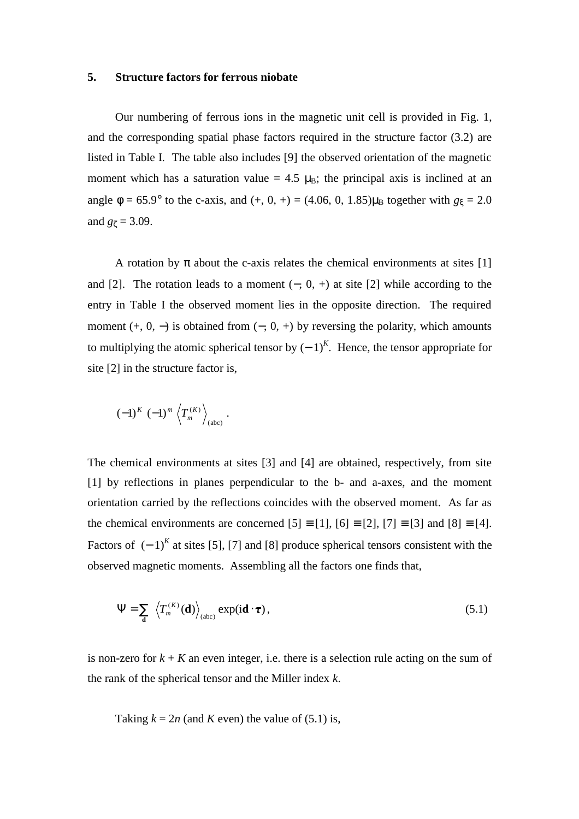#### **5. Structure factors for ferrous niobate**

Our numbering of ferrous ions in the magnetic unit cell is provided in Fig. 1, and the corresponding spatial phase factors required in the structure factor (3.2) are listed in Table I. The table also includes [9] the observed orientation of the magnetic moment which has a saturation value = 4.5  $\mu_B$ ; the principal axis is inclined at an angle  $\phi = 65.9^{\circ}$  to the c-axis, and (+, 0, +) = (4.06, 0, 1.85) $\mu_B$  together with  $g_{\xi} = 2.0$ and  $g_{\zeta} = 3.09$ .

A rotation by  $\pi$  about the c-axis relates the chemical environments at sites [1] and [2]. The rotation leads to a moment  $(-, 0, +)$  at site [2] while according to the entry in Table I the observed moment lies in the opposite direction. The required moment  $(+, 0, -)$  is obtained from  $(-, 0, +)$  by reversing the polarity, which amounts to multiplying the atomic spherical tensor by  $(-1)^K$ . Hence, the tensor appropriate for site [2] in the structure factor is,

$$
(-1)^K \left(-1\right)^m \left\langle T_m^{(K)} \right\rangle_{(abc)}.
$$

The chemical environments at sites [3] and [4] are obtained, respectively, from site [1] by reflections in planes perpendicular to the b- and a-axes, and the moment orientation carried by the reflections coincides with the observed moment. As far as the chemical environments are concerned  $[5] \equiv [1]$ ,  $[6] \equiv [2]$ ,  $[7] \equiv [3]$  and  $[8] \equiv [4]$ . Factors of  $(-1)^K$  at sites [5], [7] and [8] produce spherical tensors consistent with the observed magnetic moments. Assembling all the factors one finds that,

$$
\Psi = \sum_{\mathbf{d}} \left\langle T_m^{(K)}(\mathbf{d}) \right\rangle_{(abc)} \exp(i\mathbf{d} \cdot \boldsymbol{\tau}), \tag{5.1}
$$

is non-zero for  $k + K$  an even integer, i.e. there is a selection rule acting on the sum of the rank of the spherical tensor and the Miller index *k*.

Taking  $k = 2n$  (and *K* even) the value of (5.1) is,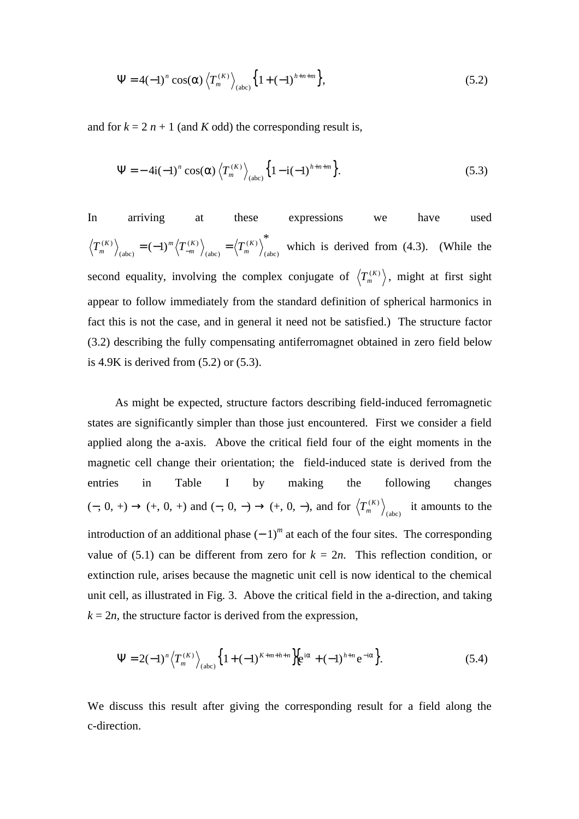$$
\Psi = 4(-1)^n \cos(\alpha) \left\langle T_m^{(K)} \right\rangle_{(abc)} \left\{ 1 + (-1)^{h+n+m} \right\},\tag{5.2}
$$

and for  $k = 2n + 1$  (and *K* odd) the corresponding result is,

$$
\Psi = -4i(-1)^n \cos(\alpha) \left\langle T_m^{(K)} \right\rangle_{(abc)} \left\{ 1 - i(-1)^{h+n+m} \right\}.
$$
 (5.3)

In arriving at these expressions we have used \*  $(-1)^m \left\langle T_{-m}^{(K)} \right\rangle_{(\text{abc})} = \left\langle T_m^{(K)} \right\rangle_{(\text{abc})}$ (abc)  $(K)$ (abc)  $(K)$   $\qquad ( K)$   $\qquad ( K)$   $\qquad ( K)$ *m K*  $T_m^{(K)}\Big|_{\text{(obs)}} = (-1)^m \left\langle T_{-m}^{(K)} \right\rangle_{\text{(obs)}} = \left\langle T_m^{(K)} \right\rangle_{\text{(obs)}}$  which is derived from (4.3). (While the second equality, involving the complex conjugate of  $\left\langle T_{m}^{(K)}\right\rangle$ , might at first sight appear to follow immediately from the standard definition of spherical harmonics in fact this is not the case, and in general it need not be satisfied.) The structure factor (3.2) describing the fully compensating antiferromagnet obtained in zero field below is 4.9K is derived from (5.2) or (5.3).

As might be expected, structure factors describing field-induced ferromagnetic states are significantly simpler than those just encountered. First we consider a field applied along the a-axis. Above the critical field four of the eight moments in the magnetic cell change their orientation; the field-induced state is derived from the entries in Table I by making the following changes  $(−, 0, +)$  →  $(+, 0, +)$  and  $(−, 0, -)$  →  $(+, 0, -)$ , and for  $\langle T_{m}^{(K)} \rangle_{(abc)}$  it amounts to the introduction of an additional phase  $(-1)^m$  at each of the four sites. The corresponding value of (5.1) can be different from zero for  $k = 2n$ . This reflection condition, or extinction rule, arises because the magnetic unit cell is now identical to the chemical unit cell, as illustrated in Fig. 3. Above the critical field in the a-direction, and taking  $k = 2n$ , the structure factor is derived from the expression,

$$
\Psi = 2(-1)^n \left\langle T_m^{(K)} \right\rangle_{(abc)} \left\{ 1 + (-1)^{K+m+h+n} \right\} \left[ e^{i\alpha} + (-1)^{h+n} e^{-i\alpha} \right]. \tag{5.4}
$$

We discuss this result after giving the corresponding result for a field along the c-direction.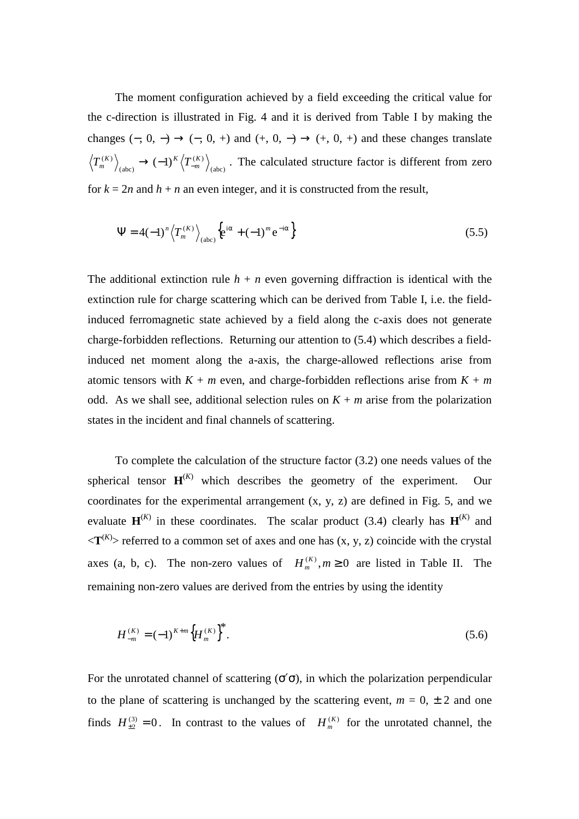The moment configuration achieved by a field exceeding the critical value for the c-direction is illustrated in Fig. 4 and it is derived from Table I by making the changes  $(-, 0, -) \rightarrow (-, 0, +)$  and  $(+, 0, -) \rightarrow (+, 0, +)$  and these changes translate  $(-1)^K\left\langle T_{-m}^{(K)}\right\rangle_{(\rm abc)}$  . (abc)  $(K)$   $(K)$   $(K)$   $(K)$  $T_{m}^{(K)}$ <sub>*(abc)*</sub>  $\rightarrow$   $(-1)^{K}$  $\langle T_{-m}^{(K)} \rangle$ <sub>(abc)</sub>. The calculated structure factor is different from zero for  $k = 2n$  and  $h + n$  an even integer, and it is constructed from the result,

$$
\Psi = 4(-1)^n \left\langle T_m^{(K)} \right\rangle_{\text{(abc)}} \left\{ e^{i\alpha} + (-1)^m e^{-i\alpha} \right\} \tag{5.5}
$$

The additional extinction rule  $h + n$  even governing diffraction is identical with the extinction rule for charge scattering which can be derived from Table I, i.e. the fieldinduced ferromagnetic state achieved by a field along the c-axis does not generate charge-forbidden reflections. Returning our attention to (5.4) which describes a fieldinduced net moment along the a-axis, the charge-allowed reflections arise from atomic tensors with  $K + m$  even, and charge-forbidden reflections arise from  $K + m$ odd. As we shall see, additional selection rules on  $K + m$  arise from the polarization states in the incident and final channels of scattering.

To complete the calculation of the structure factor (3.2) one needs values of the spherical tensor  $\mathbf{H}^{(K)}$  which describes the geometry of the experiment. Our coordinates for the experimental arrangement  $(x, y, z)$  are defined in Fig. 5, and we evaluate  $\mathbf{H}^{(K)}$  in these coordinates. The scalar product (3.4) clearly has  $\mathbf{H}^{(K)}$  and  $\langle T^{(K)} \rangle$  referred to a common set of axes and one has  $(x, y, z)$  coincide with the crystal axes (a, b, c). The non-zero values of  $H_m^{(K)}$ ,  $m \ge 0$  are listed in Table II. The remaining non-zero values are derived from the entries by using the identity

$$
H_{-m}^{(K)} = (-1)^{K+m} \left\{ H_m^{(K)} \right\}^*.
$$
\n(5.6)

For the unrotated channel of scattering  $(\sigma' \sigma)$ , in which the polarization perpendicular to the plane of scattering is unchanged by the scattering event,  $m = 0, \pm 2$  and one finds  $H_{\pm 2}^{(3)} = 0$ . In contrast to the values of  $H_m^{(K)}$  for the unrotated channel, the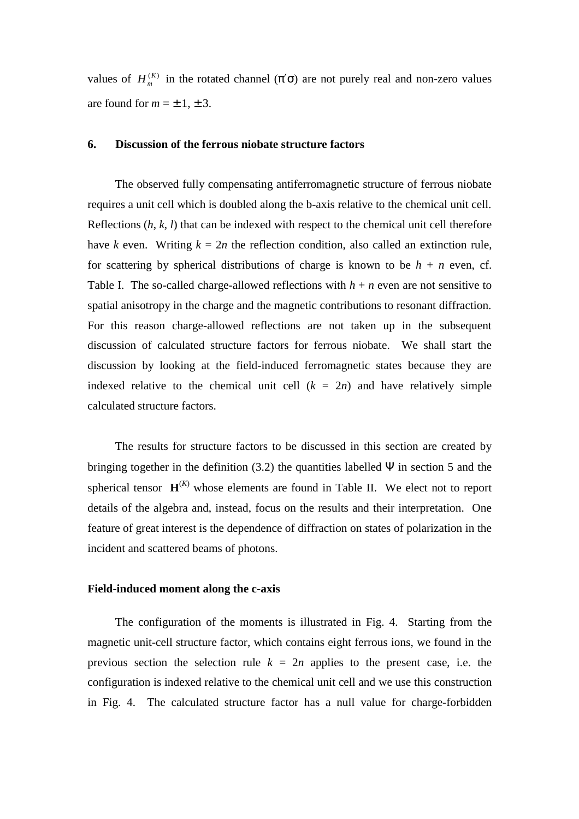values of  $H_m^{(K)}$  in the rotated channel ( $\pi'$ σ) are not purely real and non-zero values are found for  $m = \pm 1, \pm 3$ .

## **6. Discussion of the ferrous niobate structure factors**

The observed fully compensating antiferromagnetic structure of ferrous niobate requires a unit cell which is doubled along the b-axis relative to the chemical unit cell. Reflections (*h*, *k*, *l*) that can be indexed with respect to the chemical unit cell therefore have *k* even. Writing  $k = 2n$  the reflection condition, also called an extinction rule, for scattering by spherical distributions of charge is known to be  $h + n$  even, cf. Table I. The so-called charge-allowed reflections with  $h + n$  even are not sensitive to spatial anisotropy in the charge and the magnetic contributions to resonant diffraction. For this reason charge-allowed reflections are not taken up in the subsequent discussion of calculated structure factors for ferrous niobate. We shall start the discussion by looking at the field-induced ferromagnetic states because they are indexed relative to the chemical unit cell  $(k = 2n)$  and have relatively simple calculated structure factors.

The results for structure factors to be discussed in this section are created by bringing together in the definition (3.2) the quantities labelled  $\Psi$  in section 5 and the spherical tensor  $\mathbf{H}^{(K)}$  whose elements are found in Table II. We elect not to report details of the algebra and, instead, focus on the results and their interpretation. One feature of great interest is the dependence of diffraction on states of polarization in the incident and scattered beams of photons.

#### **Field-induced moment along the c-axis**

The configuration of the moments is illustrated in Fig. 4. Starting from the magnetic unit-cell structure factor, which contains eight ferrous ions, we found in the previous section the selection rule  $k = 2n$  applies to the present case, i.e. the configuration is indexed relative to the chemical unit cell and we use this construction in Fig. 4. The calculated structure factor has a null value for charge-forbidden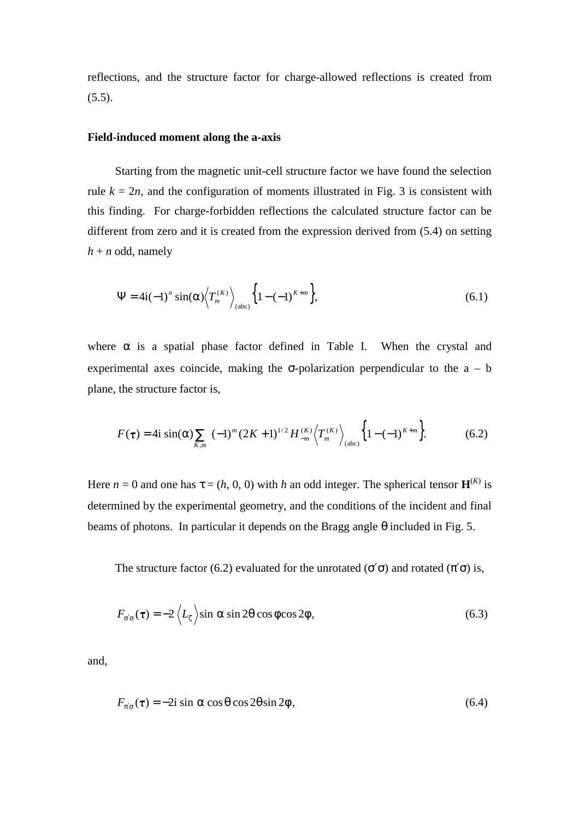reflections, and the structure factor for charge-allowed reflections is created from  $(5.5)$ .

## **Field-induced moment along the a-axis**

Starting from the magnetic unit-cell structure factor we have found the selection rule  $k = 2n$ , and the configuration of moments illustrated in Fig. 3 is consistent with this finding. For charge-forbidden reflections the calculated structure factor can be different from zero and it is created from the expression derived from (5.4) on setting  $h + n$  odd, namely

$$
\Psi = 4i(-1)^n \sin(\alpha) \left\langle T_m^{(K)} \right\rangle_{(abc)} \left\{ 1 - (-1)^{K+m} \right\},\tag{6.1}
$$

where  $\alpha$  is a spatial phase factor defined in Table I. When the crystal and experimental axes coincide, making the  $\sigma$ -polarization perpendicular to the  $a - b$ plane, the structure factor is,

$$
F(\tau) = 4i \sin(\alpha) \sum_{K,m} (-1)^m (2K+1)^{1/2} H_{-m}^{(K)} \left\langle T_m^{(K)} \right\rangle_{(abc)} \left\{ 1 - (-1)^{K+m} \right\}.
$$
 (6.2)

Here  $n = 0$  and one has  $\tau = (h, 0, 0)$  with h an odd integer. The spherical tensor  $\mathbf{H}^{(K)}$  is determined by the experimental geometry, and the conditions of the incident and final beams of photons. In particular it depends on the Bragg angle  $\theta$  included in Fig. 5.

The structure factor (6.2) evaluated for the unrotated ( $\sigma' \sigma$ ) and rotated ( $\pi' \sigma$ ) is,

$$
F_{\sigma'\sigma}(\tau) = -2 \left\langle L_{\zeta} \right\rangle \sin \alpha \sin 2\theta \cos \phi \cos 2\phi, \qquad (6.3)
$$

and,

$$
F_{\pi'\sigma}(\tau) = -2i \sin \alpha \cos \theta \cos 2\theta \sin 2\phi, \qquad (6.4)
$$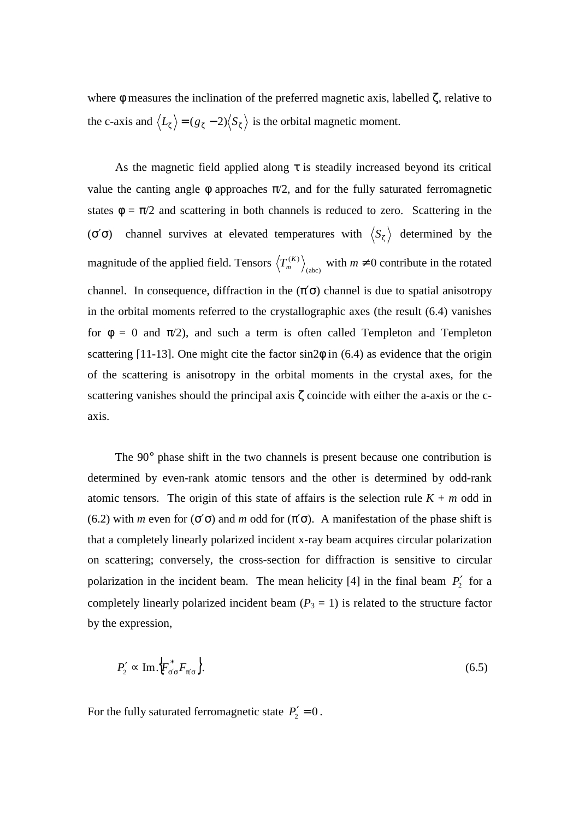where  $\phi$  measures the inclination of the preferred magnetic axis, labelled  $\zeta$ , relative to the c-axis and  $\langle L_{\zeta} \rangle = (g_{\zeta} - 2) \langle S_{\zeta} \rangle$  is the orbital magnetic moment.

As the magnetic field applied along  $\tau$  is steadily increased beyond its critical value the canting angle  $\phi$  approaches  $\pi/2$ , and for the fully saturated ferromagnetic states  $\phi = \pi/2$  and scattering in both channels is reduced to zero. Scattering in the ( $\sigma'$  $\sigma$ ) channel survives at elevated temperatures with  $\langle S_{\zeta} \rangle$  determined by the magnitude of the applied field. Tensors  $\left\langle T_m^{(K)} \right\rangle_{(abc)}$  with  $m \neq 0$  contribute in the rotated channel. In consequence, diffraction in the  $(\pi' \sigma)$  channel is due to spatial anisotropy in the orbital moments referred to the crystallographic axes (the result (6.4) vanishes for  $\phi = 0$  and  $\pi/2$ ), and such a term is often called Templeton and Templeton scattering [11-13]. One might cite the factor  $sin2\phi$  in (6.4) as evidence that the origin of the scattering is anisotropy in the orbital moments in the crystal axes, for the scattering vanishes should the principal axis ζ coincide with either the a-axis or the caxis.

The 90° phase shift in the two channels is present because one contribution is determined by even-rank atomic tensors and the other is determined by odd-rank atomic tensors. The origin of this state of affairs is the selection rule  $K + m$  odd in (6.2) with *m* even for ( $\sigma'$  $\sigma$ ) and *m* odd for ( $\pi'$  $\sigma$ ). A manifestation of the phase shift is that a completely linearly polarized incident x-ray beam acquires circular polarization on scattering; conversely, the cross-section for diffraction is sensitive to circular polarization in the incident beam. The mean helicity  $[4]$  in the final beam  $P'_2$  for a completely linearly polarized incident beam  $(P_3 = 1)$  is related to the structure factor by the expression,

$$
P_2' \propto \text{Im}\left\{F_{\sigma'\sigma}^* F_{\pi'\sigma}\right\}.\tag{6.5}
$$

For the fully saturated ferromagnetic state  $P'_2 = 0$ .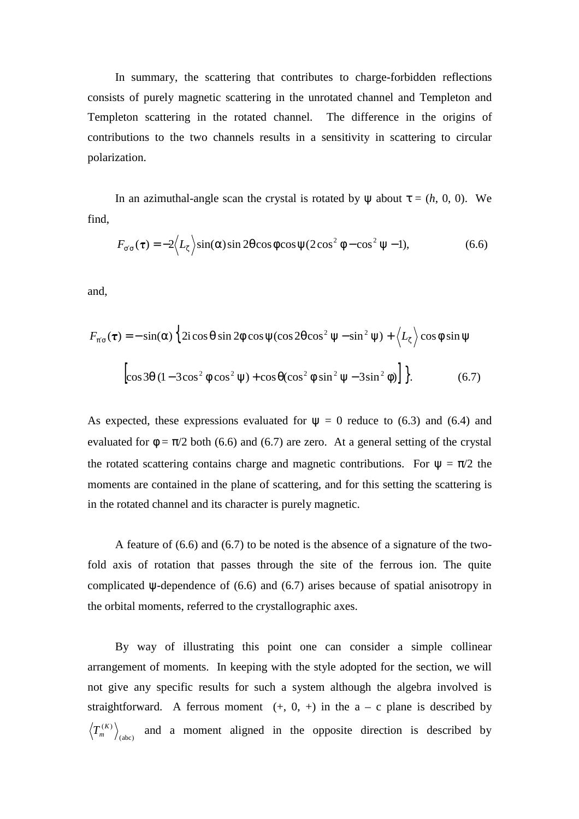In summary, the scattering that contributes to charge-forbidden reflections consists of purely magnetic scattering in the unrotated channel and Templeton and Templeton scattering in the rotated channel. The difference in the origins of contributions to the two channels results in a sensitivity in scattering to circular polarization.

In an azimuthal-angle scan the crystal is rotated by  $\psi$  about  $\tau = (h, 0, 0)$ . We find,

$$
F_{\sigma'\sigma}(\tau) = -2 \Big\langle L_{\zeta} \Big\rangle \sin(\alpha) \sin 2\theta \cos \phi \cos \psi (2 \cos^2 \phi - \cos^2 \psi - 1), \tag{6.6}
$$

and,

$$
F_{\pi'\sigma}(\tau) = -\sin(\alpha) \left\{ 2i \cos \theta \sin 2\phi \cos \psi (\cos 2\theta \cos^2 \psi - \sin^2 \psi) + \left\langle L_{\zeta} \right\rangle \cos \phi \sin \psi \right\}
$$
  

$$
\left[ \cos 3\theta (1 - 3\cos^2 \phi \cos^2 \psi) + \cos \theta (\cos^2 \phi \sin^2 \psi - 3\sin^2 \phi) \right] \Big\}.
$$
 (6.7)

As expected, these expressions evaluated for  $\psi = 0$  reduce to (6.3) and (6.4) and evaluated for  $\phi = \pi/2$  both (6.6) and (6.7) are zero. At a general setting of the crystal the rotated scattering contains charge and magnetic contributions. For  $\psi = \pi/2$  the moments are contained in the plane of scattering, and for this setting the scattering is in the rotated channel and its character is purely magnetic.

A feature of (6.6) and (6.7) to be noted is the absence of a signature of the twofold axis of rotation that passes through the site of the ferrous ion. The quite complicated ψ-dependence of (6.6) and (6.7) arises because of spatial anisotropy in the orbital moments, referred to the crystallographic axes.

By way of illustrating this point one can consider a simple collinear arrangement of moments. In keeping with the style adopted for the section, we will not give any specific results for such a system although the algebra involved is straightforward. A ferrous moment  $(+, 0, +)$  in the  $a - c$  plane is described by  $T_{m}^{(K)}$  and a moment aligned in the opposite direction is described by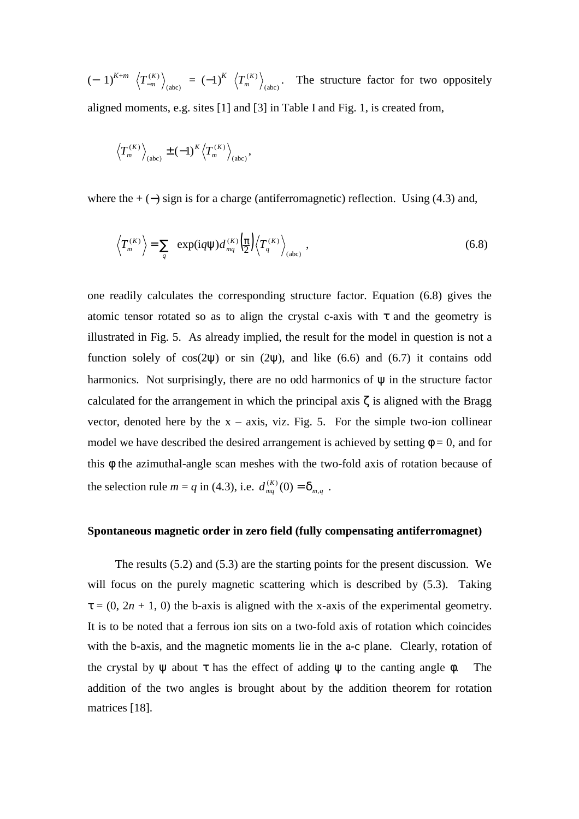$(-1)^{K+m} \left\langle T_{-m}^{(K)} \right\rangle_{(abc)} = (-1)^K \left\langle T_m^{(K)} \right\rangle_{(abc)}$ . The structure factor for two oppositely aligned moments, e.g. sites [1] and [3] in Table I and Fig. 1, is created from,

$$
\left\langle T_{m}^{(K)}\right\rangle_{(\text{abc})} \pm (-1)^K \left\langle T_{m}^{(K)}\right\rangle_{(\text{abc})},
$$

where the  $+ (-)$  sign is for a charge (antiferromagnetic) reflection. Using (4.3) and,

$$
\left\langle T_{m}^{(K)}\right\rangle = \sum_{q} \exp(iq\psi) d_{mq}^{(K)} \left(\frac{\pi}{2}\right) \left\langle T_{q}^{(K)}\right\rangle_{\text{(abc)}}, \qquad (6.8)
$$

one readily calculates the corresponding structure factor. Equation (6.8) gives the atomic tensor rotated so as to align the crystal c-axis with  $\tau$  and the geometry is illustrated in Fig. 5. As already implied, the result for the model in question is not a function solely of  $cos(2\psi)$  or sin (2 $\psi$ ), and like (6.6) and (6.7) it contains odd harmonics. Not surprisingly, there are no odd harmonics of  $\psi$  in the structure factor calculated for the arrangement in which the principal axis ζ is aligned with the Bragg vector, denoted here by the  $x - axis$ , viz. Fig. 5. For the simple two-ion collinear model we have described the desired arrangement is achieved by setting  $\phi = 0$ , and for this φ the azimuthal-angle scan meshes with the two-fold axis of rotation because of the selection rule  $m = q$  in (4.3), i.e.  $d_{mq}^{(K)}(0) = \delta_{m,q}$ .

#### **Spontaneous magnetic order in zero field (fully compensating antiferromagnet)**

The results (5.2) and (5.3) are the starting points for the present discussion. We will focus on the purely magnetic scattering which is described by  $(5.3)$ . Taking  $\tau = (0, 2n + 1, 0)$  the b-axis is aligned with the x-axis of the experimental geometry. It is to be noted that a ferrous ion sits on a two-fold axis of rotation which coincides with the b-axis, and the magnetic moments lie in the a-c plane. Clearly, rotation of the crystal by  $\psi$  about  $\tau$  has the effect of adding  $\psi$  to the canting angle  $\phi$ . The addition of the two angles is brought about by the addition theorem for rotation matrices [18].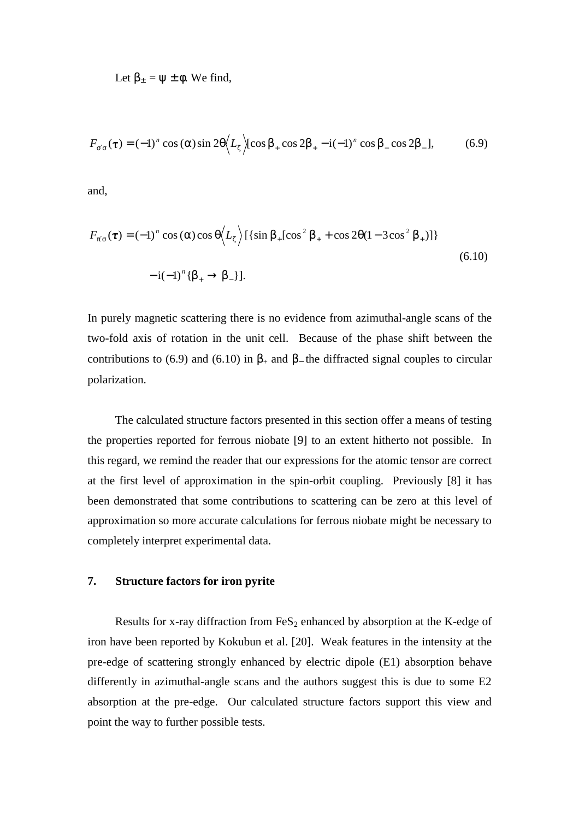Let  $\beta_{\pm} = \psi \pm \phi$ . We find,

$$
F_{\sigma'\sigma}(\tau) = (-1)^n \cos{(\alpha)} \sin{2\theta} \Big\langle L_{\zeta} \Big\rangle [\cos{\beta_+} \cos{2\beta_+} - i(-1)^n \cos{\beta_-} \cos{2\beta_-}], \tag{6.9}
$$

and,

$$
F_{\pi'\sigma}(\tau) = (-1)^n \cos{(\alpha)} \cos{\theta} \Big\langle L_{\zeta} \Big\rangle \left[ \{\sin{\beta_+} [\cos^2{\beta_+} + \cos{2\theta} (1 - 3\cos^2{\beta_+})] \} \right] \tag{6.10}
$$
  

$$
-i(-1)^n \{\beta_+ \to \beta_-\} \}.
$$

In purely magnetic scattering there is no evidence from azimuthal-angle scans of the two-fold axis of rotation in the unit cell. Because of the phase shift between the contributions to (6.9) and (6.10) in  $\beta_+$  and  $\beta_-$  the diffracted signal couples to circular polarization.

The calculated structure factors presented in this section offer a means of testing the properties reported for ferrous niobate [9] to an extent hitherto not possible. In this regard, we remind the reader that our expressions for the atomic tensor are correct at the first level of approximation in the spin-orbit coupling. Previously [8] it has been demonstrated that some contributions to scattering can be zero at this level of approximation so more accurate calculations for ferrous niobate might be necessary to completely interpret experimental data.

## **7. Structure factors for iron pyrite**

Results for x-ray diffraction from  $FeS<sub>2</sub>$  enhanced by absorption at the K-edge of iron have been reported by Kokubun et al. [20]. Weak features in the intensity at the pre-edge of scattering strongly enhanced by electric dipole (E1) absorption behave differently in azimuthal-angle scans and the authors suggest this is due to some E2 absorption at the pre-edge. Our calculated structure factors support this view and point the way to further possible tests.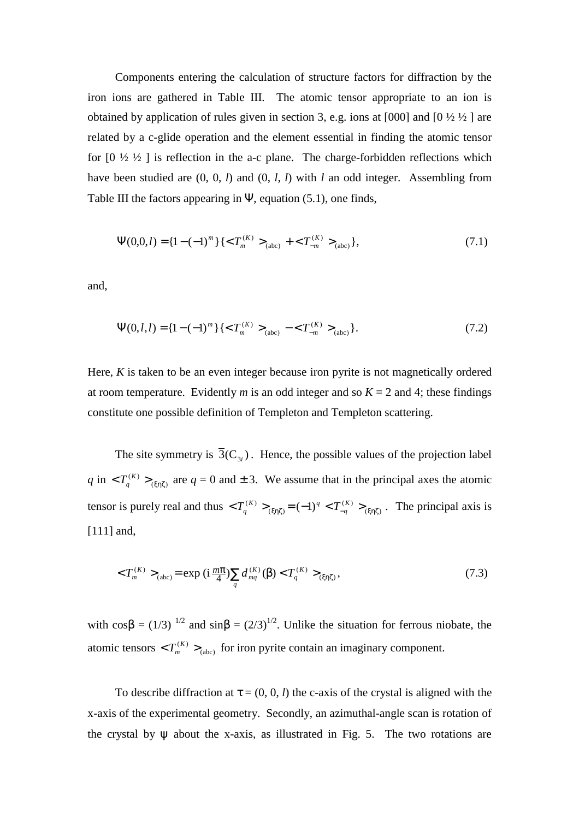Components entering the calculation of structure factors for diffraction by the iron ions are gathered in Table III. The atomic tensor appropriate to an ion is obtained by application of rules given in section 3, e.g. ions at  $[000]$  and  $[0 \frac{1}{2} \frac{1}{2}]$  are related by a c-glide operation and the element essential in finding the atomic tensor for  $[0 \frac{1}{2} \frac{1}{2}]$  is reflection in the a-c plane. The charge-forbidden reflections which have been studied are (0, 0, *l*) and (0, *l*, *l*) with *l* an odd integer. Assembling from Table III the factors appearing in  $\Psi$ , equation (5.1), one finds,

$$
\Psi(0,0,l) = \{1 - (-1)^m\} \{ \langle T_m^{(K)} \rangle_{(abc)} + \langle T_{-m}^{(K)} \rangle_{(abc)} \},\tag{7.1}
$$

and,

$$
\Psi(0,l,l) = \left\{1 - (-1)^m\right\} \left\{ \langle T_m^{(K)} \rangle_{(abc)} - \langle T_{-m}^{(K)} \rangle_{(abc)} \right\}.
$$
 (7.2)

Here, *K* is taken to be an even integer because iron pyrite is not magnetically ordered at room temperature. Evidently *m* is an odd integer and so  $K = 2$  and 4; these findings constitute one possible definition of Templeton and Templeton scattering.

The site symmetry is  $\overline{3}(C_{3i})$ . Hence, the possible values of the projection label  $q$  in  $\langle T_q^{(K)} \rangle_{(m \zeta)}$  are  $q = 0$  and  $\pm 3$ . We assume that in the principal axes the atomic tensor is purely real and thus  $\langle T_q^{(K)} \rangle_{(\xi \eta \zeta)} = (-1)^q \langle T_{-q}^{(K)} \rangle_{(\xi \eta \zeta)}$ .  $<$   $T_{q}^{(K)}$   $>_{(\xi \eta \zeta)}$   $=$   $(-1)^{q}$   $<$   $T_{-q}^{(K)}$   $>_{(\xi \eta \zeta)}$  $T_q^{(K)} >_{(\xi \eta \zeta)} = (-1)^q < T_{-q}^{(K)} >_{(\xi \eta \zeta)}$ . The principal axis is [111] and,

$$
\langle T_m^{(K)} \rangle_{(abc)} = \exp\left(i\frac{m\pi}{4}\right) \sum_q d_{mq}^{(K)}(\beta) \langle T_q^{(K)} \rangle_{(\xi\eta\zeta)},\tag{7.3}
$$

with  $\cos\beta = (1/3)^{1/2}$  and  $\sin\beta = (2/3)^{1/2}$ . Unlike the situation for ferrous niobate, the atomic tensors  $\langle T_m^{(K)} \rangle_{(abc)}$  for iron pyrite contain an imaginary component.

To describe diffraction at  $\tau = (0, 0, l)$  the c-axis of the crystal is aligned with the x-axis of the experimental geometry. Secondly, an azimuthal-angle scan is rotation of the crystal by  $\psi$  about the x-axis, as illustrated in Fig. 5. The two rotations are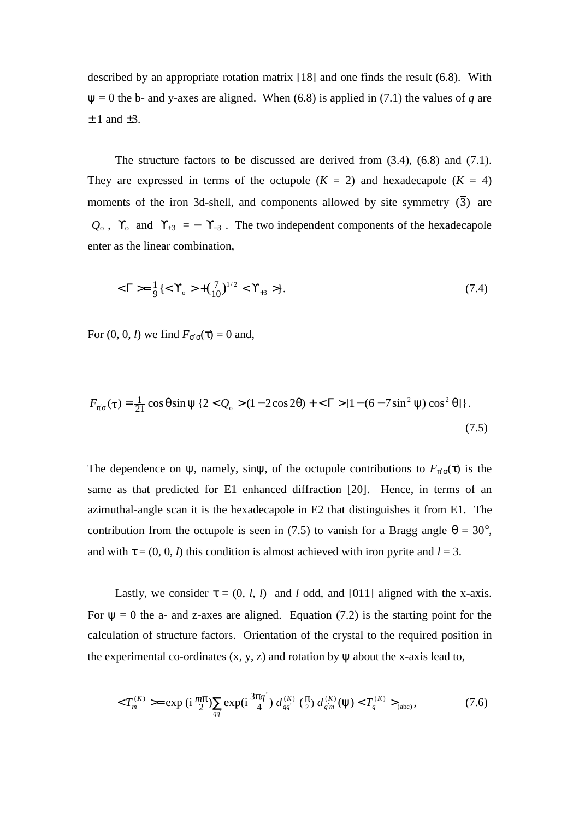described by an appropriate rotation matrix [18] and one finds the result (6.8). With  $\Psi = 0$  the b- and y-axes are aligned. When (6.8) is applied in (7.1) the values of *q* are  $\pm$  1 and  $\pm$ 3.

The structure factors to be discussed are derived from (3.4), (6.8) and (7.1). They are expressed in terms of the octupole  $(K = 2)$  and hexadecapole  $(K = 4)$ moments of the iron 3d-shell, and components allowed by site symmetry  $(\overline{3})$  are  $\langle Q_0 \rangle$ ,  $\langle \Upsilon_0 \rangle$  and  $\langle \Upsilon_{+3} \rangle = -\langle \Upsilon_{-3} \rangle$ . The two independent components of the hexadecapole enter as the linear combination,

$$
\langle \Gamma \rangle = \frac{1}{9} \{ \langle \Gamma_{0} \rangle + (\frac{7}{10})^{1/2} \langle \Gamma_{+3} \rangle \}.
$$
 (7.4)

For  $(0, 0, l)$  we find  $F_{\sigma'\sigma}(\tau) = 0$  and,

$$
F_{\pi'\sigma}(\tau) = \frac{1}{21} \cos \theta \sin \psi \left\{ 2 < Q_0 > (1 - 2 \cos 2\theta) + \langle \Gamma \rangle \left[ 1 - (6 - 7 \sin^2 \psi) \cos^2 \theta \right] \right\}.
$$
\n(7.5)

The dependence on  $\psi$ , namely, sin $\psi$ , of the octupole contributions to  $F_{\pi/\sigma}(\tau)$  is the same as that predicted for E1 enhanced diffraction [20]. Hence, in terms of an azimuthal-angle scan it is the hexadecapole in E2 that distinguishes it from E1. The contribution from the octupole is seen in (7.5) to vanish for a Bragg angle  $\theta = 30^{\circ}$ , and with  $\tau = (0, 0, l)$  this condition is almost achieved with iron pyrite and  $l = 3$ .

Lastly, we consider  $\tau = (0, l, l)$  and *l* odd, and [011] aligned with the x-axis. For  $\psi = 0$  the a- and z-axes are aligned. Equation (7.2) is the starting point for the calculation of structure factors. Orientation of the crystal to the required position in the experimental co-ordinates  $(x, y, z)$  and rotation by  $\psi$  about the x-axis lead to,

$$
\langle T_m^{(K)} \rangle = \exp\left(i\frac{m\pi}{2}\right) \sum_{qq'} \exp(i\frac{3\pi q'}{4}) d_{qq'}^{(K)} \left(\frac{\pi}{2}\right) d_{q'm}^{(K)}(\Psi) \langle T_q^{(K)} \rangle_{(abc)},\tag{7.6}
$$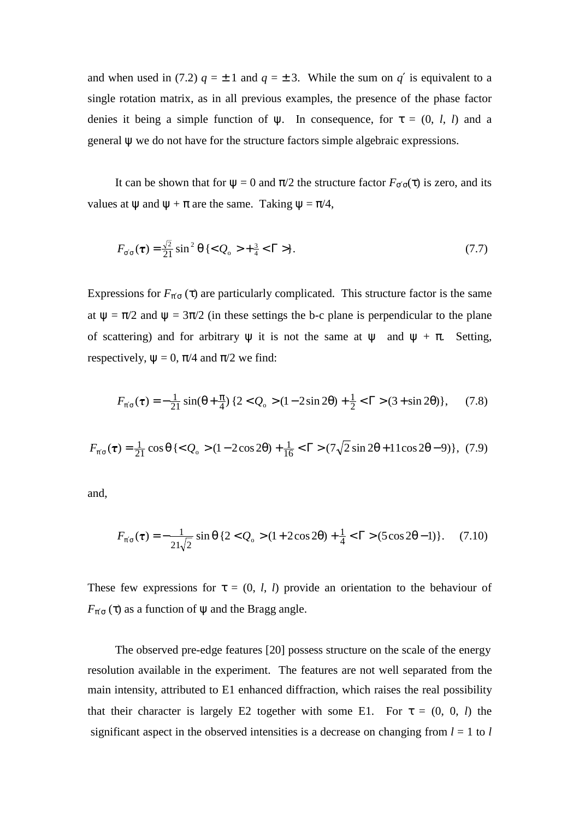and when used in (7.2)  $q = \pm 1$  and  $q = \pm 3$ . While the sum on  $q'$  is equivalent to a single rotation matrix, as in all previous examples, the presence of the phase factor denies it being a simple function of  $\psi$ . In consequence, for  $\tau = (0, l, l)$  and a general ψ we do not have for the structure factors simple algebraic expressions.

It can be shown that for  $\psi = 0$  and  $\pi/2$  the structure factor  $F_{\sigma'\sigma}(\tau)$  is zero, and its values at  $\psi$  and  $\psi + \pi$  are the same. Taking  $\psi = \pi/4$ ,

$$
F_{\sigma'\sigma}(\tau) = \frac{\sqrt{2}}{21} \sin^2 \theta \{  +\frac{3}{4} < \Gamma > \}.
$$
 (7.7)

Expressions for  $F_{\pi/\sigma}(\tau)$  are particularly complicated. This structure factor is the same at  $\psi = \pi/2$  and  $\psi = 3\pi/2$  (in these settings the b-c plane is perpendicular to the plane of scattering) and for arbitrary  $\psi$  it is not the same at  $\psi$  and  $\psi + \pi$ . Setting, respectively,  $\psi = 0$ ,  $\pi/4$  and  $\pi/2$  we find:

$$
F_{\pi'\sigma}(\tau) = -\frac{1}{21}\sin(\theta + \frac{\pi}{4})\left\{2 < Q_0 > (1 - 2\sin 2\theta) + \frac{1}{2} < \Gamma > (3 + \sin 2\theta)\right\},\tag{7.8}
$$

$$
F_{\pi'\sigma}(\tau) = \frac{1}{21} \cos \theta \left\{  (1 - 2\cos 2\theta) + \frac{1}{16} < \Gamma > (7\sqrt{2}\sin 2\theta + 11\cos 2\theta - 9) \right\}, (7.9)
$$

and,

$$
F_{\pi'\sigma}(\tau) = -\frac{1}{21\sqrt{2}}\sin\theta \left\{2 < Q_{\circ} > (1 + 2\cos 2\theta) + \frac{1}{4} < \Gamma > (5\cos 2\theta - 1)\right\}.\tag{7.10}
$$

These few expressions for  $\tau = (0, l, l)$  provide an orientation to the behaviour of  $F_{\pi' \sigma}(\tau)$  as a function of  $\psi$  and the Bragg angle.

The observed pre-edge features [20] possess structure on the scale of the energy resolution available in the experiment. The features are not well separated from the main intensity, attributed to E1 enhanced diffraction, which raises the real possibility that their character is largely E2 together with some E1. For  $\tau = (0, 0, l)$  the significant aspect in the observed intensities is a decrease on changing from  $l = 1$  to  $l$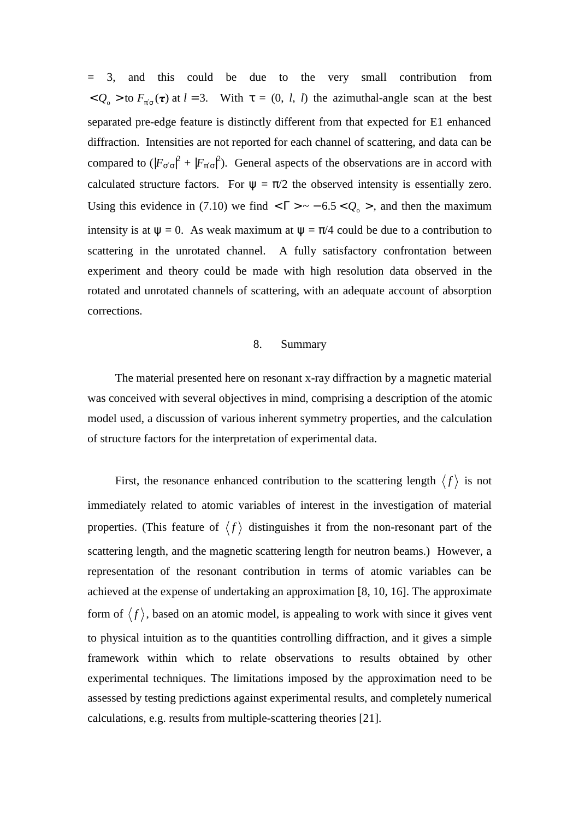= 3, and this could be due to the very small contribution from  $< Q_0 >$  to  $F_{\pi/\sigma}(\tau)$  at  $l = 3$ . With  $\tau = (0, l, l)$  the azimuthal-angle scan at the best separated pre-edge feature is distinctly different from that expected for E1 enhanced diffraction. Intensities are not reported for each channel of scattering, and data can be compared to  $(|F_{\sigma \sigma}|^2 + |F_{\pi \sigma}|^2)$ . General aspects of the observations are in accord with calculated structure factors. For  $\psi = \pi/2$  the observed intensity is essentially zero. Using this evidence in (7.10) we find  $\langle \Gamma \rangle \sim -6.5 \langle Q_0 \rangle$ , and then the maximum intensity is at  $\psi = 0$ . As weak maximum at  $\psi = \pi/4$  could be due to a contribution to scattering in the unrotated channel. A fully satisfactory confrontation between experiment and theory could be made with high resolution data observed in the rotated and unrotated channels of scattering, with an adequate account of absorption corrections.

### 8. Summary

The material presented here on resonant x-ray diffraction by a magnetic material was conceived with several objectives in mind, comprising a description of the atomic model used, a discussion of various inherent symmetry properties, and the calculation of structure factors for the interpretation of experimental data.

First, the resonance enhanced contribution to the scattering length  $\langle f \rangle$  is not immediately related to atomic variables of interest in the investigation of material properties. (This feature of  $\langle f \rangle$  distinguishes it from the non-resonant part of the scattering length, and the magnetic scattering length for neutron beams.) However, a representation of the resonant contribution in terms of atomic variables can be achieved at the expense of undertaking an approximation [8, 10, 16]. The approximate form of  $\langle f \rangle$ , based on an atomic model, is appealing to work with since it gives vent to physical intuition as to the quantities controlling diffraction, and it gives a simple framework within which to relate observations to results obtained by other experimental techniques. The limitations imposed by the approximation need to be assessed by testing predictions against experimental results, and completely numerical calculations, e.g. results from multiple-scattering theories [21].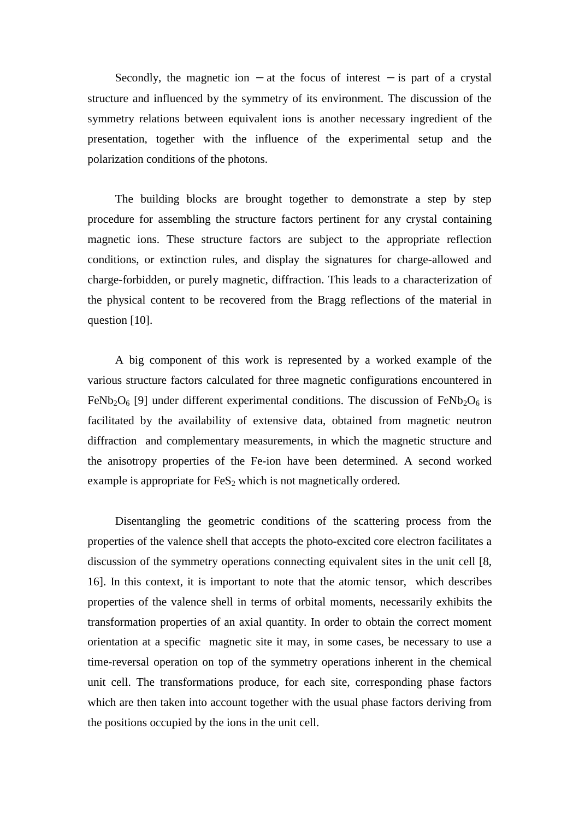Secondly, the magnetic ion  $-$  at the focus of interest  $-$  is part of a crystal structure and influenced by the symmetry of its environment. The discussion of the symmetry relations between equivalent ions is another necessary ingredient of the presentation, together with the influence of the experimental setup and the polarization conditions of the photons.

The building blocks are brought together to demonstrate a step by step procedure for assembling the structure factors pertinent for any crystal containing magnetic ions. These structure factors are subject to the appropriate reflection conditions, or extinction rules, and display the signatures for charge-allowed and charge-forbidden, or purely magnetic, diffraction. This leads to a characterization of the physical content to be recovered from the Bragg reflections of the material in question [10].

A big component of this work is represented by a worked example of the various structure factors calculated for three magnetic configurations encountered in FeNb<sub>2</sub>O<sub>6</sub> [9] under different experimental conditions. The discussion of FeNb<sub>2</sub>O<sub>6</sub> is facilitated by the availability of extensive data, obtained from magnetic neutron diffraction and complementary measurements, in which the magnetic structure and the anisotropy properties of the Fe-ion have been determined. A second worked example is appropriate for  $FeS<sub>2</sub>$  which is not magnetically ordered.

Disentangling the geometric conditions of the scattering process from the properties of the valence shell that accepts the photo-excited core electron facilitates a discussion of the symmetry operations connecting equivalent sites in the unit cell [8, 16]. In this context, it is important to note that the atomic tensor, which describes properties of the valence shell in terms of orbital moments, necessarily exhibits the transformation properties of an axial quantity. In order to obtain the correct moment orientation at a specific magnetic site it may, in some cases, be necessary to use a time-reversal operation on top of the symmetry operations inherent in the chemical unit cell. The transformations produce, for each site, corresponding phase factors which are then taken into account together with the usual phase factors deriving from the positions occupied by the ions in the unit cell.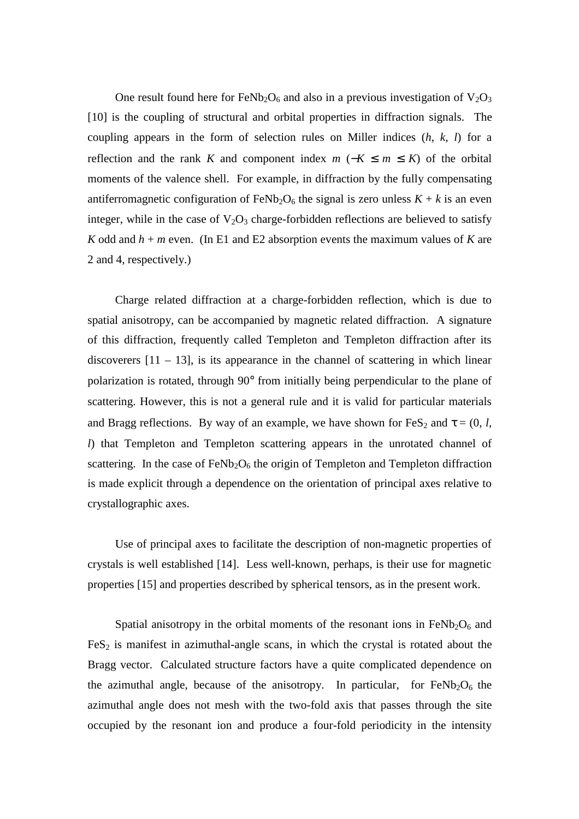One result found here for FeNb<sub>2</sub>O<sub>6</sub> and also in a previous investigation of  $V_2O_3$ [10] is the coupling of structural and orbital properties in diffraction signals. The coupling appears in the form of selection rules on Miller indices (*h*, *k*, *l*) for a reflection and the rank *K* and component index  $m$  (−*K* ≤  $m$  ≤ *K*) of the orbital moments of the valence shell. For example, in diffraction by the fully compensating antiferromagnetic configuration of FeNb<sub>2</sub>O<sub>6</sub> the signal is zero unless  $K + k$  is an even integer, while in the case of  $V_2O_3$  charge-forbidden reflections are believed to satisfy *K* odd and  $h + m$  even. (In E1 and E2 absorption events the maximum values of *K* are 2 and 4, respectively.)

Charge related diffraction at a charge-forbidden reflection, which is due to spatial anisotropy, can be accompanied by magnetic related diffraction. A signature of this diffraction, frequently called Templeton and Templeton diffraction after its discoverers  $[11 - 13]$ , is its appearance in the channel of scattering in which linear polarization is rotated, through 90° from initially being perpendicular to the plane of scattering. However, this is not a general rule and it is valid for particular materials and Bragg reflections. By way of an example, we have shown for FeS<sub>2</sub> and  $\tau = (0, l, l)$ *l*) that Templeton and Templeton scattering appears in the unrotated channel of scattering. In the case of  $FeNb<sub>2</sub>O<sub>6</sub>$  the origin of Templeton and Templeton diffraction is made explicit through a dependence on the orientation of principal axes relative to crystallographic axes.

Use of principal axes to facilitate the description of non-magnetic properties of crystals is well established [14]. Less well-known, perhaps, is their use for magnetic properties [15] and properties described by spherical tensors, as in the present work.

Spatial anisotropy in the orbital moments of the resonant ions in  $FeNb<sub>2</sub>O<sub>6</sub>$  and  $FeS<sub>2</sub>$  is manifest in azimuthal-angle scans, in which the crystal is rotated about the Bragg vector. Calculated structure factors have a quite complicated dependence on the azimuthal angle, because of the anisotropy. In particular, for  $FeNb<sub>2</sub>O<sub>6</sub>$  the azimuthal angle does not mesh with the two-fold axis that passes through the site occupied by the resonant ion and produce a four-fold periodicity in the intensity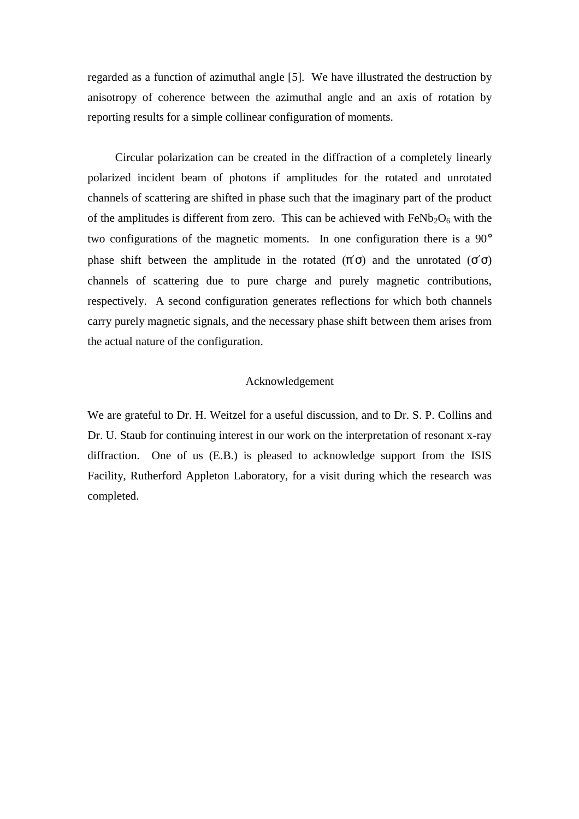regarded as a function of azimuthal angle [5]. We have illustrated the destruction by anisotropy of coherence between the azimuthal angle and an axis of rotation by reporting results for a simple collinear configuration of moments.

Circular polarization can be created in the diffraction of a completely linearly polarized incident beam of photons if amplitudes for the rotated and unrotated channels of scattering are shifted in phase such that the imaginary part of the product of the amplitudes is different from zero. This can be achieved with  $FeNb<sub>2</sub>O<sub>6</sub>$  with the two configurations of the magnetic moments. In one configuration there is a 90° phase shift between the amplitude in the rotated  $(\pi' \sigma)$  and the unrotated  $(\sigma' \sigma)$ channels of scattering due to pure charge and purely magnetic contributions, respectively. A second configuration generates reflections for which both channels carry purely magnetic signals, and the necessary phase shift between them arises from the actual nature of the configuration.

#### Acknowledgement

We are grateful to Dr. H. Weitzel for a useful discussion, and to Dr. S. P. Collins and Dr. U. Staub for continuing interest in our work on the interpretation of resonant x-ray diffraction. One of us (E.B.) is pleased to acknowledge support from the ISIS Facility, Rutherford Appleton Laboratory, for a visit during which the research was completed.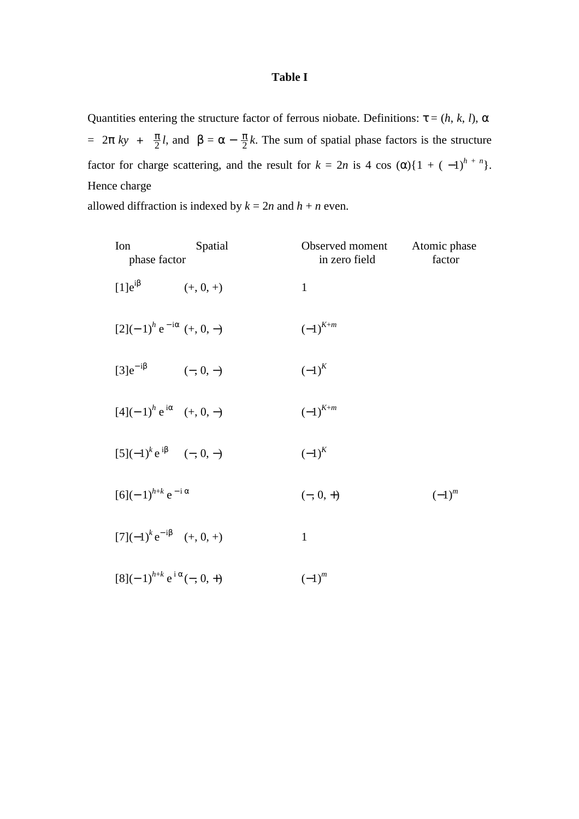## **Table I**

Quantities entering the structure factor of ferrous niobate. Definitions:  $\tau = (h, k, l)$ ,  $\alpha$ =  $2π$  *ky* +  $\frac{π}{2}l$ , and  $β = α - \frac{π}{2}k$ . The sum of spatial phase factors is the structure factor for charge scattering, and the result for  $k = 2n$  is 4 cos  $(\alpha)$ {1 + (-1)<sup>h + n</sup>}. Hence charge

allowed diffraction is indexed by  $k = 2n$  and  $h + n$  even.

| Ion<br>phase factor                  | Spatial     | Observed moment<br>in zero field | Atomic phase<br>factor |
|--------------------------------------|-------------|----------------------------------|------------------------|
| $[1]e^{i\beta}$                      | $(+, 0, +)$ | $\mathbf{1}$                     |                        |
| $[2](-1)^h e^{-i\alpha} (+, 0, -)$   |             | $\left( -1\right) ^{K+m}$        |                        |
| $[3]e^{-i\beta}$                     | $(-, 0, -)$ | $(-1)^K$                         |                        |
| $[4](-1)^h e^{i\alpha}$ (+, 0, -)    |             | $\left( -1\right) ^{K+m}$        |                        |
| $[5](-1)^k e^{i\beta}$ $(-, 0, -)$   |             | $(-1)^K$                         |                        |
| $[6](-1)^{h+k}e^{-i\alpha}$          |             | $(-, 0, +)$                      | $(-1)^{m}$             |
| $[7](-1)^{k}e^{-i\beta}$ (+, 0, +)   |             | $\mathbf{1}$                     |                        |
| $[8](-1)^{h+k} e^{i\alpha}(-, 0, +)$ |             | $(-1)^{m}$                       |                        |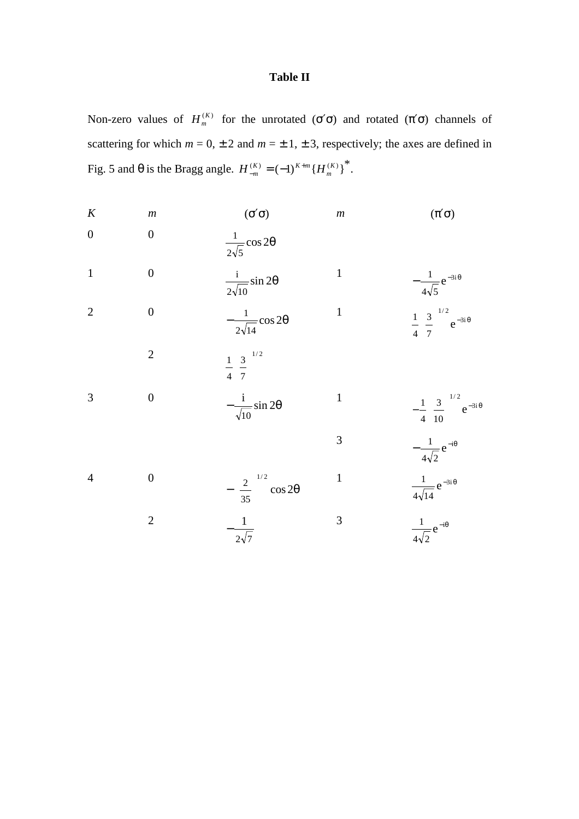# **Table II**

Non-zero values of  $H_m^{(K)}$  for the unrotated (σ'σ) and rotated (π'σ) channels of scattering for which  $m = 0, \pm 2$  and  $m = \pm 1, \pm 3$ , respectively; the axes are defined in Fig. 5 and θ is the Bragg angle.  $H_{-m}^{(K)} = (-1)^{K+m} {H_{m}^{(K)}}^*$ .

| $\boldsymbol{K}$ | $\boldsymbol{m}$ | $(\sigma'_{\sigma})$                        | $\boldsymbol{m}$ | $(\pi' \sigma)$                                                                                     |
|------------------|------------------|---------------------------------------------|------------------|-----------------------------------------------------------------------------------------------------|
| $\overline{0}$   | $\overline{0}$   | $\frac{1}{2\sqrt{5}}\cos 2\theta$           |                  |                                                                                                     |
| $\mathbf{1}$     | $\overline{0}$   | $rac{1}{2\sqrt{10}}\sin 2\theta$            | $\mathbf{1}$     | $-\frac{1}{4\sqrt{5}}e^{-3i\theta}$                                                                 |
| $\overline{2}$   | $\boldsymbol{0}$ | $-\frac{1}{2\sqrt{14}}\cos 2\theta$         | $\mathbf{1}$     | $\frac{1}{4} \left(\frac{3}{7}\right)^{1/2} e^{-3i\theta}$                                          |
|                  | $\overline{2}$   | $\frac{1}{4}\left(\frac{3}{7}\right)^{1/2}$ |                  |                                                                                                     |
| 3                | $\overline{0}$   | $-\frac{i}{\sqrt{10}}\sin 2\theta$          | $\mathbf{1}$     |                                                                                                     |
|                  |                  |                                             | 3                | $-\frac{1}{4} \left(\frac{3}{10}\right)^{1/2} e^{-3i\theta}$<br>$-\frac{1}{4\sqrt{2}} e^{-i\theta}$ |
| $\overline{4}$   | $\boldsymbol{0}$ | $-\left(\frac{2}{35}\right)^{1/2}$ cos 20   | $\mathbf{1}$     | $\frac{1}{4\sqrt{14}}e^{-3i\theta}$                                                                 |
|                  | $\overline{2}$   | $-\frac{1}{2\sqrt{7}}$                      | 3                | $\frac{1}{4\sqrt{2}}e^{-i\theta}$                                                                   |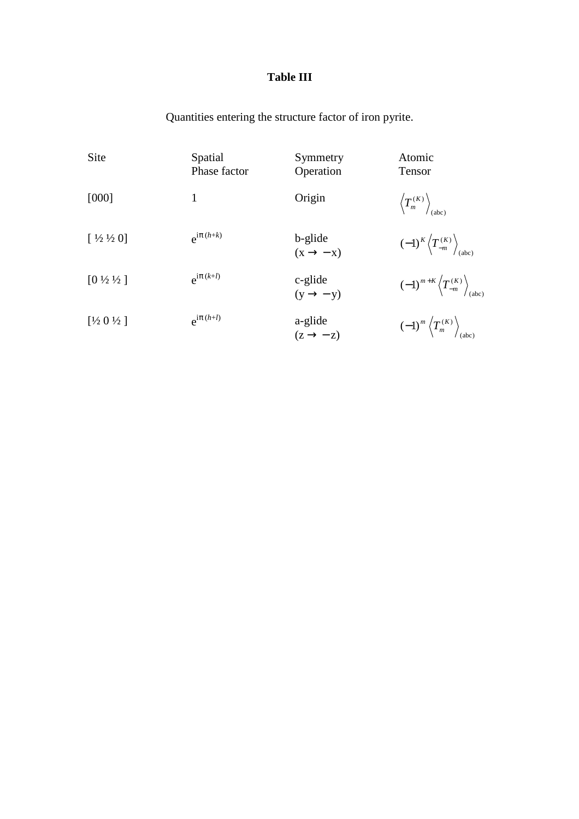# **Table III**

Quantities entering the structure factor of iron pyrite.

| Site                          | Spatial<br>Phase factor | Symmetry<br>Operation           | Atomic<br>Tensor                                                     |
|-------------------------------|-------------------------|---------------------------------|----------------------------------------------------------------------|
| [000]                         | 1                       | Origin                          | $\left\langle T_{m}^{(K)}\right\rangle _{\text{(abc)}}$              |
| $[1/2 \frac{1}{2} 0]$         | $e^{i\pi(h+k)}$         | b-glide<br>$(x \rightarrow -x)$ | $(-1)^K \left\langle T_{-m}^{(K)} \right\rangle_{(abc)}$             |
| $[0 \frac{1}{2} \frac{1}{2}]$ | $e^{i\pi(k+l)}$         | c-glide<br>$(y \rightarrow -y)$ | $(-1)^{m+K}\left\langle T_{-m}^{(K)}\right\rangle _{\mathrm{(abc)}}$ |
| [1/2 0 1/2]                   | $e^{i\pi(h+l)}$         | a-glide<br>$(z \rightarrow -z)$ | $(-1)^m \left\langle T_m^{(K)} \right\rangle_{(abc)}$                |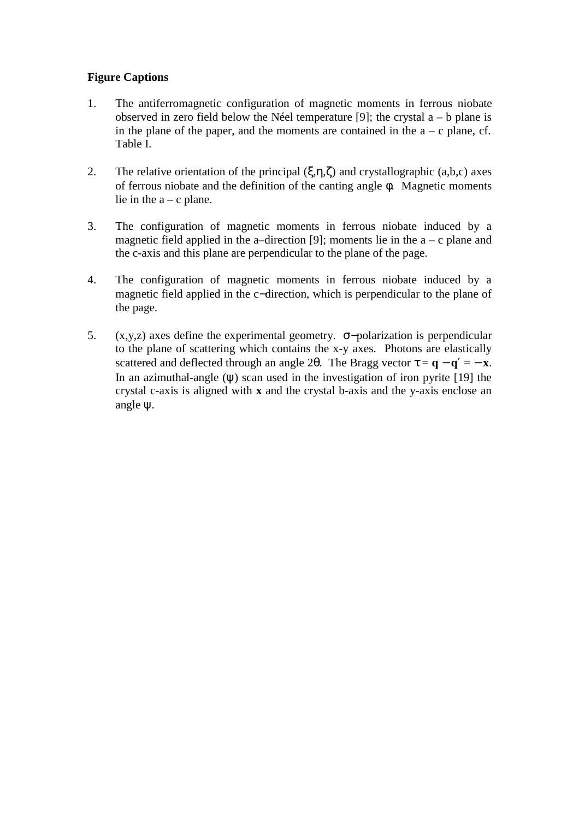## **Figure Captions**

- 1. The antiferromagnetic configuration of magnetic moments in ferrous niobate observed in zero field below the Néel temperature [9]; the crystal  $a - b$  plane is in the plane of the paper, and the moments are contained in the  $a - c$  plane, cf. Table I.
- 2. The relative orientation of the principal  $(\xi, \eta, \zeta)$  and crystallographic  $(a, b, c)$  axes of ferrous niobate and the definition of the canting angle φ. Magnetic moments lie in the  $a - c$  plane.
- 3. The configuration of magnetic moments in ferrous niobate induced by a magnetic field applied in the a–direction [9]; moments lie in the  $a - c$  plane and the c-axis and this plane are perpendicular to the plane of the page.
- 4. The configuration of magnetic moments in ferrous niobate induced by a magnetic field applied in the c−direction, which is perpendicular to the plane of the page.
- 5. (x,y,z) axes define the experimental geometry. σ−polarization is perpendicular to the plane of scattering which contains the x-y axes. Photons are elastically scattered and deflected through an angle 2 $\theta$ . The Bragg vector  $\tau = \mathbf{q} - \mathbf{q}' = -\mathbf{x}$ . In an azimuthal-angle (ψ) scan used in the investigation of iron pyrite [19] the crystal c-axis is aligned with **x** and the crystal b-axis and the y-axis enclose an angle ψ.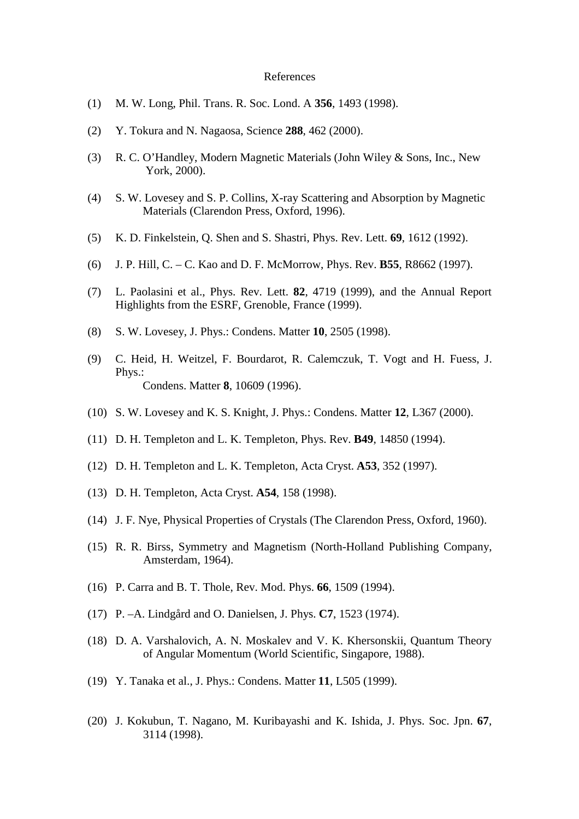#### References

- (1) M. W. Long, Phil. Trans. R. Soc. Lond. A **356**, 1493 (1998).
- (2) Y. Tokura and N. Nagaosa, Science **288**, 462 (2000).
- (3) R. C. O'Handley, Modern Magnetic Materials (John Wiley & Sons, Inc., New York, 2000).
- (4) S. W. Lovesey and S. P. Collins, X-ray Scattering and Absorption by Magnetic Materials (Clarendon Press, Oxford, 1996).
- (5) K. D. Finkelstein, Q. Shen and S. Shastri, Phys. Rev. Lett. **69**, 1612 (1992).
- (6) J. P. Hill, C. C. Kao and D. F. McMorrow, Phys. Rev. **B55**, R8662 (1997).
- (7) L. Paolasini et al., Phys. Rev. Lett. **82**, 4719 (1999), and the Annual Report Highlights from the ESRF, Grenoble, France (1999).
- (8) S. W. Lovesey, J. Phys.: Condens. Matter **10**, 2505 (1998).
- (9) C. Heid, H. Weitzel, F. Bourdarot, R. Calemczuk, T. Vogt and H. Fuess, J. Phys.: Condens. Matter **8**, 10609 (1996).
- (10) S. W. Lovesey and K. S. Knight, J. Phys.: Condens. Matter **12**, L367 (2000).
- (11) D. H. Templeton and L. K. Templeton, Phys. Rev. **B49**, 14850 (1994).
- (12) D. H. Templeton and L. K. Templeton, Acta Cryst. **A53**, 352 (1997).
- (13) D. H. Templeton, Acta Cryst. **A54**, 158 (1998).
- (14) J. F. Nye, Physical Properties of Crystals (The Clarendon Press, Oxford, 1960).
- (15) R. R. Birss, Symmetry and Magnetism (North-Holland Publishing Company, Amsterdam, 1964).
- (16) P. Carra and B. T. Thole, Rev. Mod. Phys. **66**, 1509 (1994).
- (17) P. –A. Lindgård and O. Danielsen, J. Phys. **C7**, 1523 (1974).
- (18) D. A. Varshalovich, A. N. Moskalev and V. K. Khersonskii, Quantum Theory of Angular Momentum (World Scientific, Singapore, 1988).
- (19) Y. Tanaka et al., J. Phys.: Condens. Matter **11**, L505 (1999).
- (20) J. Kokubun, T. Nagano, M. Kuribayashi and K. Ishida, J. Phys. Soc. Jpn. **67**, 3114 (1998).